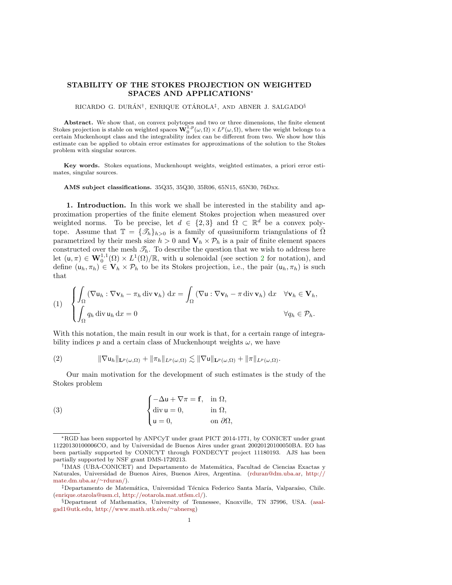## STABILITY OF THE STOKES PROJECTION ON WEIGHTED SPACES AND APPLICATIONS<sup>∗</sup>

RICARDO G. DURÁN<sup>†</sup>, ENRIQUE OTÁROLA<sup>‡</sup>, AND ABNER J. SALGADO<sup>§</sup>

**Abstract.** We show that, on convex polytopes and two or three dimensions, the finite element Stokes projection is stable on weighted spaces  $\mathbf{W}_0^{1,p}(\omega,\Omega) \times L^p(\omega,\Omega)$ , where the weight belongs to a certain Muckenhoupt class and the integrability index can be different from two. We show how this estimate can be applied to obtain error estimates for approximations of the solution to the Stokes problem with singular sources.

Key words. Stokes equations, Muckenhoupt weights, weighted estimates, a priori error estimates, singular sources.

AMS subject classifications. 35Q35, 35Q30, 35R06, 65N15, 65N30, 76Dxx.

1. Introduction. In this work we shall be interested in the stability and approximation properties of the finite element Stokes projection when measured over weighted norms. To be precise, let  $d \in \{2,3\}$  and  $\Omega \subset \mathbb{R}^d$  be a convex polytope. Assume that  $\mathbb{T} = {\mathcal{T}_h}_{h>0}$  is a family of quasiuniform triangulations of  $\overline{\Omega}$ parametrized by their mesh size  $h > 0$  and  $V_h \times \mathcal{P}_h$  is a pair of finite element spaces constructed over the mesh  $\mathcal{T}_h$ . To describe the question that we wish to address here let  $(u, \pi) \in \mathbf{W}_0^{1,1}(\Omega) \times L^1(\Omega)/\mathbb{R}$ , with u solenoidal (see section [2](#page-1-0) for notation), and define  $(u_h, \pi_h) \in V_h \times P_h$  to be its Stokes projection, i.e., the pair  $(u_h, \pi_h)$  is such that

<span id="page-0-2"></span>(1) 
$$
\begin{cases} \int_{\Omega} (\nabla \mathbf{u}_h : \nabla \mathbf{v}_h - \pi_h \operatorname{div} \mathbf{v}_h) \, dx = \int_{\Omega} (\nabla \mathbf{u} : \nabla \mathbf{v}_h - \pi \operatorname{div} \mathbf{v}_h) \, dx & \forall \mathbf{v}_h \in \mathbf{V}_h, \\ \int_{\Omega} q_h \operatorname{div} \mathbf{u}_h \, dx = 0 & \forall q_h \in \mathcal{P}_h. \end{cases}
$$

With this notation, the main result in our work is that, for a certain range of integrability indices p and a certain class of Muckenhoupt weights  $\omega$ , we have

<span id="page-0-1"></span>
$$
(2) \t\t\t \|\nabla u_h\|_{\mathbf{L}^p(\omega,\Omega)} + \|\pi_h\|_{L^p(\omega,\Omega)} \lesssim \|\nabla u\|_{\mathbf{L}^p(\omega,\Omega)} + \|\pi\|_{L^p(\omega,\Omega)}.
$$

Our main motivation for the development of such estimates is the study of the Stokes problem

<span id="page-0-0"></span>(3) 
$$
\begin{cases}\n-\Delta u + \nabla \pi = \mathbf{f}, & \text{in } \Omega, \\
\text{div } u = 0, & \text{in } \Omega, \\
u = 0, & \text{on } \partial \Omega,\n\end{cases}
$$

<sup>∗</sup>RGD has been supported by ANPCyT under grant PICT 2014-1771, by CONICET under grant 11220130100006CO, and by Universidad de Buenos Aires under grant 20020120100050BA. EO has been partially supported by CONICYT through FONDECYT project 11180193. AJS has been partially supported by NSF grant DMS-1720213.

<sup>&</sup>lt;sup>†</sup>IMAS (UBA-CONICET) and Departamento de Matemática, Facultad de Ciencias Exactas y Naturales, Universidad de Buenos Aires, Buenos Aires, Argentina. [\(rduran@dm.uba.ar,](mailto:rduran@dm.uba.ar) [http://](http://mate.dm.uba.ar/~rduran/) [mate.dm.uba.ar/](http://mate.dm.uba.ar/~rduran/)∼rduran/).

<sup>&</sup>lt;sup>‡</sup>Departamento de Matemática, Universidad Técnica Federico Santa María, Valparaíso, Chile. [\(enrique.otarola@usm.cl,](mailto:enrique.otarola@usm.cl) [http://eotarola.mat.utfsm.cl/\)](http://eotarola.mat.utfsm.cl/).

<sup>§</sup>Department of Mathematics, University of Tennessee, Knoxville, TN 37996, USA. [\(asal](mailto:asalgad1@utk.edu)[gad1@utk.edu,](mailto:asalgad1@utk.edu) [http://www.math.utk.edu/](http://www.math.utk.edu/~abnersg)∼abnersg)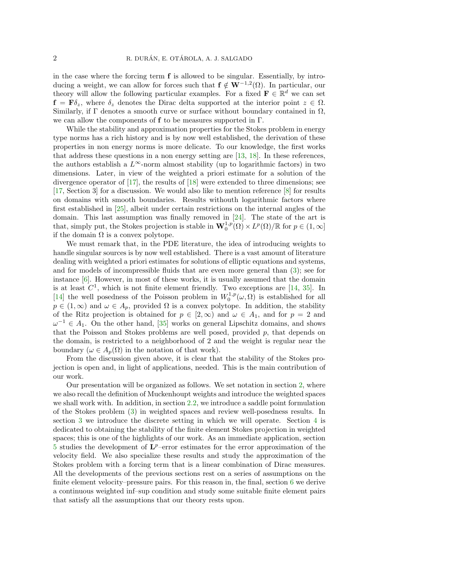in the case where the forcing term  $f$  is allowed to be singular. Essentially, by introducing a weight, we can allow for forces such that  $f \notin W^{-1,2}(\Omega)$ . In particular, our theory will allow the following particular examples. For a fixed  $\mathbf{F} \in \mathbb{R}^d$  we can set  $f = \mathbf{F}\delta_z$ , where  $\delta_z$  denotes the Dirac delta supported at the interior point  $z \in \Omega$ . Similarly, if  $\Gamma$  denotes a smooth curve or surface without boundary contained in  $\Omega$ , we can allow the components of  $f$  to be measures supported in  $\Gamma$ .

While the stability and approximation properties for the Stokes problem in energy type norms has a rich history and is by now well established, the derivation of these properties in non energy norms is more delicate. To our knowledge, the first works that address these questions in a non energy setting are [\[13,](#page-18-0) [18\]](#page-18-1). In these references, the authors establish a  $L^{\infty}$ -norm almost stability (up to logarithmic factors) in two dimensions. Later, in view of the weighted a priori estimate for a solution of the divergence operator of  $[17]$ , the results of  $[18]$  were extended to three dimensions; see [\[17,](#page-18-2) Section 3] for a discussion. We would also like to mention reference [\[8\]](#page-18-3) for results on domains with smooth boundaries. Results withouth logarithmic factors where first established in [\[25\]](#page-18-4), albeit under certain restrictions on the internal angles of the domain. This last assumption was finally removed in [\[24\]](#page-18-5). The state of the art is that, simply put, the Stokes projection is stable in  $\mathbf{W}_0^{1,p}(\Omega) \times L^p(\Omega)/\mathbb{R}$  for  $p \in (1,\infty]$ if the domain  $\Omega$  is a convex polytope.

We must remark that, in the PDE literature, the idea of introducing weights to handle singular sources is by now well established. There is a vast amount of literature dealing with weighted a priori estimates for solutions of elliptic equations and systems, and for models of incompressible fluids that are even more general than [\(3\)](#page-0-0); see for instance [\[6\]](#page-18-6). However, in most of these works, it is usually assumed that the domain is at least  $C^1$ , which is not finite element friendly. Two exceptions are [\[14,](#page-18-7) [35\]](#page-19-0). In [\[14\]](#page-18-7) the well posedness of the Poisson problem in  $W_0^{1,p}(\omega,\Omega)$  is established for all  $p \in (1,\infty)$  and  $\omega \in A_p$ , provided  $\Omega$  is a convex polytope. In addition, the stability of the Ritz projection is obtained for  $p \in [2,\infty)$  and  $\omega \in A_1$ , and for  $p = 2$  and  $\omega^{-1} \in A_1$ . On the other hand, [\[35\]](#page-19-0) works on general Lipschitz domains, and shows that the Poisson and Stokes problems are well posed, provided  $p$ , that depends on the domain, is restricted to a neighborhood of 2 and the weight is regular near the boundary ( $\omega \in A_p(\Omega)$  in the notation of that work).

From the discussion given above, it is clear that the stability of the Stokes projection is open and, in light of applications, needed. This is the main contribution of our work.

<span id="page-1-0"></span>Our presentation will be organized as follows. We set notation in section [2,](#page-1-0) where we also recall the definition of Muckenhoupt weights and introduce the weighted spaces we shall work with. In addition, in section [2.2,](#page-4-0) we introduce a saddle point formulation of the Stokes problem [\(3\)](#page-0-0) in weighted spaces and review well-posedness results. In section [3](#page-5-0) we introduce the discrete setting in which we will operate. Section [4](#page-7-0) is dedicated to obtaining the stability of the finite element Stokes projection in weighted spaces; this is one of the highlights of our work. As an immediate application, section  $5$  studies the development of  $\mathbf{L}^p$ -error estimates for the error approximation of the velocity field. We also specialize these results and study the approximation of the Stokes problem with a forcing term that is a linear combination of Dirac measures. All the developments of the previous sections rest on a series of assumptions on the finite element velocity–pressure pairs. For this reason in, the final, section [6](#page-13-0) we derive a continuous weighted inf–sup condition and study some suitable finite element pairs that satisfy all the assumptions that our theory rests upon.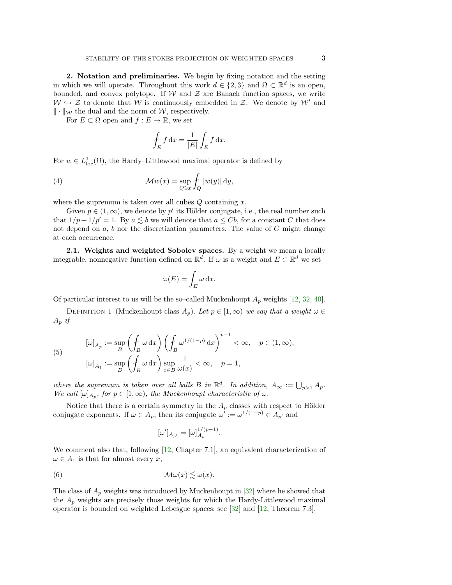2. Notation and preliminaries. We begin by fixing notation and the setting in which we will operate. Throughout this work  $d \in \{2,3\}$  and  $\Omega \subset \mathbb{R}^d$  is an open, bounded, and convex polytope. If  $W$  and  $Z$  are Banach function spaces, we write  $W \hookrightarrow \mathcal{Z}$  to denote that W is continuously embedded in Z. We denote by W' and  $\|\cdot\|_{\mathcal{W}}$  the dual and the norm of W, respectively.

For  $E \subset \Omega$  open and  $f : E \to \mathbb{R}$ , we set

$$
\oint_E f \, dx = \frac{1}{|E|} \int_E f \, dx.
$$

For  $w \in L^1_{loc}(\Omega)$ , the Hardy–Littlewood maximal operator is defined by

(4) 
$$
\mathcal{M}w(x) = \sup_{Q \ni x} \int_Q |w(y)| dy,
$$

where the supremum is taken over all cubes  $Q$  containing  $x$ .

Given  $p \in (1,\infty)$ , we denote by p' its Hölder conjugate, i.e., the real number such that  $1/p + 1/p' = 1$ . By  $a \leq b$  we will denote that  $a \leq Cb$ , for a constant C that does not depend on  $a, b$  nor the discretization parameters. The value of  $C$  might change at each occurrence.

<span id="page-2-1"></span>2.1. Weights and weighted Sobolev spaces. By a weight we mean a locally integrable, nonnegative function defined on  $\mathbb{R}^d$ . If  $\omega$  is a weight and  $E \subset \mathbb{R}^d$  we set

$$
\omega(E) = \int_E \omega \, \mathrm{d}x.
$$

Of particular interest to us will be the so–called Muckenhoupt  $A_p$  weights [\[12,](#page-18-8) [32,](#page-19-1) [40\]](#page-19-2).

DEFINITION 1 (Muckenhoupt class  $A_p$ ). Let  $p \in [1,\infty)$  we say that a weight  $\omega \in$  $A_p$  if

<span id="page-2-2"></span>(5) 
$$
[\omega]_{A_p} := \sup_B \left( \oint_B \omega \, dx \right) \left( \oint_B \omega^{1/(1-p)} \, dx \right)^{p-1} < \infty, \quad p \in (1, \infty),
$$

$$
[\omega]_{A_1} := \sup_B \left( \oint_B \omega \, dx \right) \sup_{x \in B} \frac{1}{\omega(x)} < \infty, \quad p = 1,
$$

where the supremum is taken over all balls B in  $\mathbb{R}^d$ . In addition,  $A_{\infty} := \bigcup_{p>1} A_p$ . We call  $[\omega]_{A_p}$ , for  $p \in [1,\infty)$ , the Muckenhoupt characteristic of  $\omega$ .

Notice that there is a certain symmetry in the  $A_p$  classes with respect to Hölder conjugate exponents. If  $\omega \in A_p$ , then its conjugate  $\omega' := \omega^{1/(1-p)} \in A_{p'}$  and

<span id="page-2-0"></span>
$$
[\omega']_{A_{p'}}=[\omega]_{A_p}^{1/(p-1)}.
$$

We comment also that, following [\[12,](#page-18-8) Chapter 7.1], an equivalent characterization of  $\omega \in A_1$  is that for almost every x,

(6) 
$$
\mathcal{M}\omega(x) \lesssim \omega(x).
$$

The class of  $A_p$  weights was introduced by Muckenhoupt in [\[32\]](#page-19-1) where he showed that the  $A_p$  weights are precisely those weights for which the Hardy-Littlewood maximal operator is bounded on weighted Lebesgue spaces; see [\[32\]](#page-19-1) and [\[12,](#page-18-8) Theorem 7.3].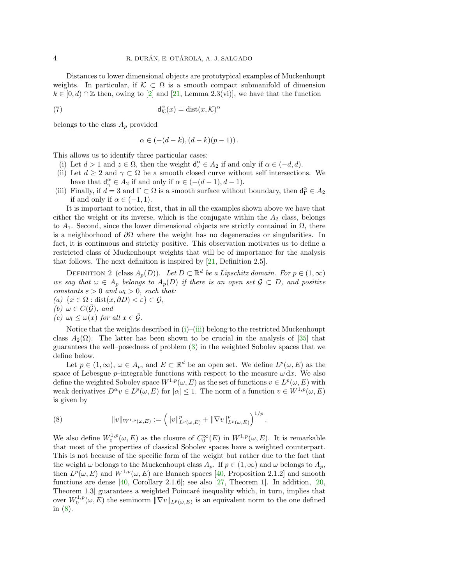Distances to lower dimensional objects are prototypical examples of Muckenhoupt weights. In particular, if  $K \subset \Omega$  is a smooth compact submanifold of dimension  $k \in [0, d) \cap \mathbb{Z}$  then, owing to [\[2\]](#page-17-0) and [\[21,](#page-18-9) Lemma 2.3(vi)], we have that the function

(7) 
$$
d_{\mathcal{K}}^{\alpha}(x) = \text{dist}(x, \mathcal{K})^{\alpha}
$$

belongs to the class  $A_p$  provided

$$
\alpha \in (-(d-k), (d-k)(p-1)).
$$

This allows us to identify three particular cases:

- <span id="page-3-0"></span>(i) Let  $d > 1$  and  $z \in \Omega$ , then the weight  $d_z^{\alpha} \in A_2$  if and only if  $\alpha \in (-d, d)$ .
- <span id="page-3-3"></span>(ii) Let  $d \geq 2$  and  $\gamma \subset \Omega$  be a smooth closed curve without self intersections. We have that  $d_{\gamma}^{\alpha} \in A_2$  if and only if  $\alpha \in (-(d-1), d-1)$ .
- <span id="page-3-1"></span>(iii) Finally, if  $d = 3$  and  $\Gamma \subset \Omega$  is a smooth surface without boundary, then  $d_{\Gamma}^{\alpha} \in A_2$ if and only if  $\alpha \in (-1, 1)$ .

It is important to notice, first, that in all the examples shown above we have that either the weight or its inverse, which is the conjugate within the  $A_2$  class, belongs to  $A_1$ . Second, since the lower dimensional objects are strictly contained in  $\Omega$ , there is a neighborhood of  $\partial\Omega$  where the weight has no degeneracies or singularities. In fact, it is continuous and strictly positive. This observation motivates us to define a restricted class of Muckenhoupt weights that will be of importance for the analysis that follows. The next definition is inspired by [\[21,](#page-18-9) Definition 2.5].

DEFINITION 2 (class  $A_p(D)$ ). Let  $D \subset \mathbb{R}^d$  be a Lipschitz domain. For  $p \in (1,\infty)$ we say that  $\omega \in A_p$  belongs to  $A_p(D)$  if there is an open set  $\mathcal{G} \subset D$ , and positive constants  $\varepsilon > 0$  and  $\omega_l > 0$ , such that: (a)  $\{x \in \Omega : \text{dist}(x, \partial D) < \varepsilon\} \subset \mathcal{G},$ 

(b)  $\omega \in C(\bar{\mathcal{G}})$ , and

(c)  $\omega_l \leq \omega(x)$  for all  $x \in \overline{\mathcal{G}}$ .

Notice that the weights described in  $(i)$ – $(iii)$  belong to the restricted Muckenhoupt class  $A_2(\Omega)$ . The latter has been shown to be crucial in the analysis of [\[35\]](#page-19-0) that guarantees the well–posedness of problem [\(3\)](#page-0-0) in the weighted Sobolev spaces that we define below.

Let  $p \in (1,\infty)$ ,  $\omega \in A_p$ , and  $E \subset \mathbb{R}^d$  be an open set. We define  $L^p(\omega,E)$  as the space of Lebesgue  $p$ –integrable functions with respect to the measure  $\omega \, dx$ . We also define the weighted Sobolev space  $W^{1,p}(\omega,E)$  as the set of functions  $v \in L^p(\omega,E)$  with weak derivatives  $D^{\alpha}v \in L^p(\omega, E)$  for  $|\alpha| \leq 1$ . The norm of a function  $v \in W^{1,p}(\omega, E)$ is given by

<span id="page-3-2"></span>(8) 
$$
||v||_{W^{1,p}(\omega,E)} := (||v||_{L^p(\omega,E)}^p + ||\nabla v||_{L^p(\omega,E)}^p)^{1/p}.
$$

We also define  $W_0^{1,p}(\omega, E)$  as the closure of  $C_0^{\infty}(E)$  in  $W^{1,p}(\omega, E)$ . It is remarkable that most of the properties of classical Sobolev spaces have a weighted counterpart. This is not because of the specific form of the weight but rather due to the fact that the weight  $\omega$  belongs to the Muckenhoupt class  $A_p$ . If  $p \in (1,\infty)$  and  $\omega$  belongs to  $A_p$ , then  $L^p(\omega, E)$  and  $W^{1,p}(\omega, E)$  are Banach spaces [\[40,](#page-19-2) Proposition 2.1.2] and smooth functions are dense  $[40,$  Corollary 2.1.6]; see also  $[27,$  Theorem 1]. In addition,  $[20,$ Theorem 1.3 guarantees a weighted Poincaré inequality which, in turn, implies that over  $W_0^{1,p}(\omega,E)$  the seminorm  $\|\nabla v\|_{L^p(\omega,E)}$  is an equivalent norm to the one defined in [\(8\)](#page-3-2).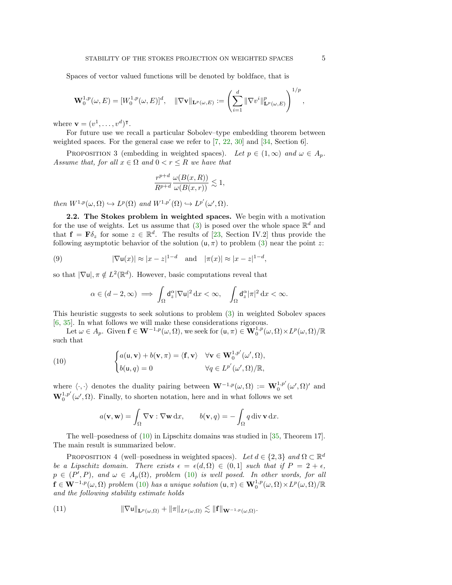Spaces of vector valued functions will be denoted by boldface, that is

$$
\mathbf{W}_0^{1,p}(\omega,E) = [W_0^{1,p}(\omega,E)]^d, \quad \|\nabla \mathbf{v}\|_{\mathbf{L}^p(\omega,E)} := \left(\sum_{i=1}^d \|\nabla v^i\|_{\mathbf{L}^p(\omega,E)}^p\right)^{1/p},
$$

where  $\mathbf{v} = (v^1, \dots, v^d)^\intercal$ .

For future use we recall a particular Sobolev–type embedding theorem between weighted spaces. For the general case we refer to [\[7,](#page-18-11) [22,](#page-18-12) [30\]](#page-19-4) and [\[34,](#page-19-5) Section 6].

<span id="page-4-3"></span>PROPOSITION 3 (embedding in weighted spaces). Let  $p \in (1,\infty)$  and  $\omega \in A_p$ . Assume that, for all  $x \in \Omega$  and  $0 < r \leq R$  we have that

$$
\frac{r^{p+d}}{R^{p+d}} \frac{\omega(B(x,R))}{\omega(B(x,r))} \lesssim 1,
$$

then  $W^{1,p}(\omega,\Omega) \hookrightarrow L^p(\Omega)$  and  $W^{1,p'}(\Omega) \hookrightarrow L^{p'}(\omega',\Omega)$ .

<span id="page-4-0"></span>2.2. The Stokes problem in weighted spaces. We begin with a motivation for the use of weights. Let us assume that [\(3\)](#page-0-0) is posed over the whole space  $\mathbb{R}^d$  and that  $f = F\delta_z$  for some  $z \in \mathbb{R}^d$ . The results of [\[23,](#page-18-13) Section IV.2] thus provide the following asymptotic behavior of the solution  $(u, \pi)$  to problem [\(3\)](#page-0-0) near the point z:

(9) 
$$
|\nabla u(x)| \approx |x - z|^{1 - d}
$$
 and  $|\pi(x)| \approx |x - z|^{1 - d}$ ,

so that  $|\nabla \mathbf{u}|, \pi \notin L^2(\mathbb{R}^d)$ . However, basic computations reveal that

$$
\alpha \in (d-2,\infty) \implies \int_{\Omega} \mathsf{d}_z^{\alpha} |\nabla \mathsf{u}|^2 \, \mathrm{d}x < \infty, \quad \int_{\Omega} \mathsf{d}_z^{\alpha} |\pi|^2 \, \mathrm{d}x < \infty.
$$

This heuristic suggests to seek solutions to problem [\(3\)](#page-0-0) in weighted Sobolev spaces [\[6,](#page-18-6) [35\]](#page-19-0). In what follows we will make these considerations rigorous.

Let  $\omega \in A_p$ . Given  $\mathbf{f} \in \mathbf{W}^{-1,p}(\omega,\Omega)$ , we seek for  $(\mathsf{u},\pi) \in \mathbf{W}_0^{1,p}(\omega,\Omega) \times L^p(\omega,\Omega)/\mathbb{R}$ such that

(10) 
$$
\begin{cases} a(\mathbf{u}, \mathbf{v}) + b(\mathbf{v}, \pi) = \langle \mathbf{f}, \mathbf{v} \rangle & \forall \mathbf{v} \in \mathbf{W}_0^{1, p'}(\omega', \Omega), \\ b(\mathbf{u}, q) = 0 & \forall q \in L^{p'}(\omega', \Omega)/\mathbb{R}, \end{cases}
$$

where  $\langle \cdot, \cdot \rangle$  denotes the duality pairing between  $\mathbf{W}^{-1,p}(\omega, \Omega) := \mathbf{W}_0^{1,p'}(\omega', \Omega)'$  and  $\mathbf{W}_0^{1,p'}(\omega',\Omega)$ . Finally, to shorten notation, here and in what follows we set

<span id="page-4-1"></span>
$$
a(\mathbf{v}, \mathbf{w}) = \int_{\Omega} \nabla \mathbf{v} : \nabla \mathbf{w} \, dx, \qquad b(\mathbf{v}, q) = -\int_{\Omega} q \, \text{div} \, \mathbf{v} \, dx.
$$

The well–posedness of  $(10)$  in Lipschitz domains was studied in [\[35,](#page-19-0) Theorem 17]. The main result is summarized below.

<span id="page-4-2"></span>PROPOSITION 4 (well–posedness in weighted spaces). Let  $d \in \{2,3\}$  and  $\Omega \subset \mathbb{R}^d$ be a Lipschitz domain. There exists  $\epsilon = \epsilon(d, \Omega) \in (0, 1]$  such that if  $P = 2 + \epsilon$ ,  $p \in (P', P)$ , and  $\omega \in A_p(\Omega)$ , problem [\(10\)](#page-4-1) is well posed. In other words, for all  $\mathbf{f} \in \mathbf{W}^{-1,p}(\omega,\Omega)$  problem [\(10\)](#page-4-1) has a unique solution  $(\mathsf{u},\pi) \in \mathbf{W}_0^{1,p}(\omega,\Omega) \times L^p(\omega,\Omega)/\mathbb{R}$ and the following stability estimate holds

(11) 
$$
\|\nabla \mathsf{u}\|_{\mathbf{L}^p(\omega,\Omega)} + \|\pi\|_{L^p(\omega,\Omega)} \lesssim \|\mathbf{f}\|_{\mathbf{W}^{-1,p}(\omega,\Omega)}.
$$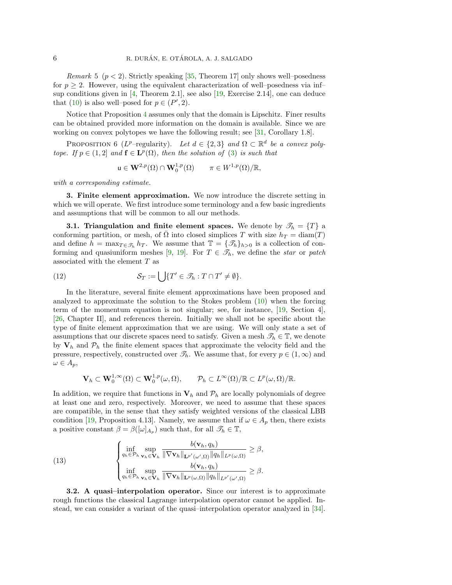*Remark* 5 ( $p < 2$ ). Strictly speaking [\[35,](#page-19-0) Theorem 17] only shows well-posedness for  $p \geq 2$ . However, using the equivalent characterization of well–posedness via inf– sup conditions given in [\[4,](#page-18-14) Theorem 2.1], see also [\[19,](#page-18-15) Exercise 2.14], one can deduce that [\(10\)](#page-4-1) is also well-posed for  $p \in (P', 2)$ .

Notice that Proposition [4](#page-4-2) assumes only that the domain is Lipschitz. Finer results can be obtained provided more information on the domain is available. Since we are working on convex polytopes we have the following result; see [\[31,](#page-19-6) Corollary 1.8].

<span id="page-5-2"></span>PROPOSITION 6 ( $L^p$ -regularity). Let  $d \in \{2,3\}$  and  $\Omega \subset \mathbb{R}^d$  be a convex polytope. If  $p \in (1,2]$  and  $f \in L^p(\Omega)$ , then the solution of [\(3\)](#page-0-0) is such that

$$
\mathsf{u}\in \mathbf{W}^{2,p}(\Omega)\cap \mathbf{W}^{1,p}_0(\Omega) \qquad \pi\in W^{1,p}(\Omega)/\mathbb{R},
$$

with a corresponding estimate.

<span id="page-5-0"></span>3. Finite element approximation. We now introduce the discrete setting in which we will operate. We first introduce some terminology and a few basic ingredients and assumptions that will be common to all our methods.

**3.1. Triangulation and finite element spaces.** We denote by  $\mathscr{T}_h = \{T\}$  a conforming partition, or mesh, of  $\overline{\Omega}$  into closed simplices T with size  $h_T = \text{diam}(T)$ and define  $h = \max_{T \in \mathcal{T}_h} h_T$ . We assume that  $\mathbb{T} = {\mathcal{T}_h}_{h>0}$  is a collection of con-forming and quasiuniform meshes [\[9,](#page-18-16) [19\]](#page-18-15). For  $T \in \mathscr{T}_h$ , we define the star or patch associated with the element T as

(12) 
$$
\mathcal{S}_T := \bigcup \{ T' \in \mathcal{I}_h : T \cap T' \neq \emptyset \}.
$$

In the literature, several finite element approximations have been proposed and analyzed to approximate the solution to the Stokes problem [\(10\)](#page-4-1) when the forcing term of the momentum equation is not singular; see, for instance, [\[19,](#page-18-15) Section 4], [\[26,](#page-18-17) Chapter II], and references therein. Initially we shall not be specific about the type of finite element approximation that we are using. We will only state a set of assumptions that our discrete spaces need to satisfy. Given a mesh  $\mathcal{T}_h \in \mathbb{T}$ , we denote by  $V_h$  and  $\mathcal{P}_h$  the finite element spaces that approximate the velocity field and the pressure, respectively, constructed over  $\mathcal{T}_h$ . We assume that, for every  $p \in (1,\infty)$  and  $\omega \in A_p$ ,

$$
\mathbf{V}_h \subset \mathbf{W}_0^{1,\infty}(\Omega) \subset \mathbf{W}_0^{1,p}(\omega,\Omega), \qquad \mathcal{P}_h \subset L^{\infty}(\Omega)/\mathbb{R} \subset L^p(\omega,\Omega)/\mathbb{R}.
$$

In addition, we require that functions in  $V_h$  and  $P_h$  are locally polynomials of degree at least one and zero, respectively. Moreover, we need to assume that these spaces are compatible, in the sense that they satisfy weighted versions of the classical LBB condition [\[19,](#page-18-15) Proposition 4.13]. Namely, we assume that if  $\omega \in A_p$  then, there exists a positive constant  $\beta = \beta([\omega]_{A_p})$  such that, for all  $\mathscr{T}_h \in \mathbb{T}$ ,

<span id="page-5-1"></span>(13) 
$$
\begin{cases}\n\inf_{q_h \in \mathcal{P}_h} \sup_{\mathbf{v}_h \in \mathbf{V}_h} \frac{b(\mathbf{v}_h, q_h)}{\|\nabla \mathbf{v}_h\|_{\mathbf{L}^{p'}(\omega', \Omega)} \|q_h\|_{L^p(\omega, \Omega)}} \geq \beta, \\
\inf_{q_h \in \mathcal{P}_h} \sup_{\mathbf{v}_h \in \mathbf{V}_h} \frac{b(\mathbf{v}_h, q_h)}{\|\nabla \mathbf{v}_h\|_{\mathbf{L}^{p}(\omega, \Omega)} \|q_h\|_{L^{p'}(\omega', \Omega)}} \geq \beta.\n\end{cases}
$$

<span id="page-5-3"></span>3.2. A quasi–interpolation operator. Since our interest is to approximate rough functions the classical Lagrange interpolation operator cannot be applied. Instead, we can consider a variant of the quasi–interpolation operator analyzed in [\[34\]](#page-19-5).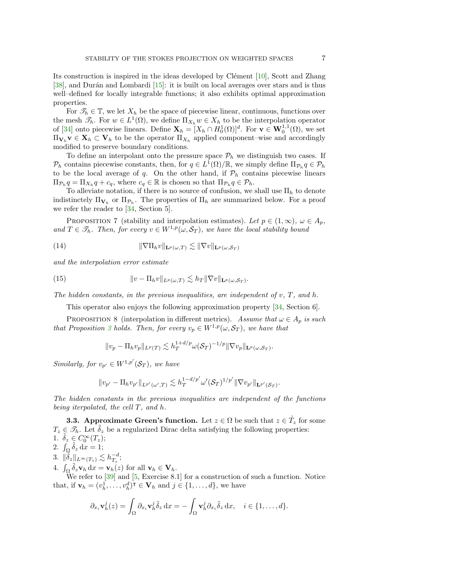Its construction is inspired in the ideas developed by Clément  $[10]$ , Scott and Zhang [\[38\]](#page-19-7), and Durán and Lombardi  $[15]$ : it is built on local averages over stars and is thus well–defined for locally integrable functions; it also exhibits optimal approximation properties.

For  $\mathcal{T}_h \in \mathbb{T}$ , we let  $X_h$  be the space of piecewise linear, continuous, functions over the mesh  $\mathscr{T}_h$ . For  $w \in L^1(\Omega)$ , we define  $\Pi_{X_h} w \in X_h$  to be the interpolation operator of [\[34\]](#page-19-5) onto piecewise linears. Define  $\mathbf{X}_h = [X_h \cap H_0^1(\Omega)]^d$ . For  $\mathbf{v} \in \mathbf{W}_0^{1,1}(\Omega)$ , we set  $\Pi_{\mathbf{V}_h} \mathbf{v} \in \mathbf{X}_h \subset \mathbf{V}_h$  to be the operator  $\Pi_{X_h}$  applied component–wise and accordingly modified to preserve boundary conditions.

To define an interpolant onto the pressure space  $\mathcal{P}_h$  we distinguish two cases. If  $\mathcal{P}_h$  contains piecewise constants, then, for  $q \in L^1(\Omega)/\mathbb{R}$ , we simply define  $\Pi_{\mathcal{P}_h} q \in \mathcal{P}_h$ to be the local average of q. On the other hand, if  $\mathcal{P}_h$  contains piecewise linears  $\Pi_{\mathcal{P}_h} q = \Pi_{X_h} q + c_q$ , where  $c_q \in \mathbb{R}$  is chosen so that  $\Pi_{\mathcal{P}_h} q \in \mathcal{P}_h$ .

To alleviate notation, if there is no source of confusion, we shall use  $\Pi_h$  to denote indistinctely  $\Pi_{\mathbf{V}_h}$  or  $\Pi_{\mathcal{P}_h}$ . The properties of  $\Pi_h$  are summarized below. For a proof we refer the reader to [\[34,](#page-19-5) Section 5].

PROPOSITION 7 (stability and interpolation estimates). Let  $p \in (1,\infty)$ ,  $\omega \in A_p$ , and  $T \in \mathscr{T}_h$ . Then, for every  $v \in W^{1,p}(\omega, \mathcal{S}_T)$ , we have the local stability bound

<span id="page-6-1"></span>(14) 
$$
\|\nabla\Pi_h v\|_{\mathbf{L}^p(\omega,T)} \lesssim \|\nabla v\|_{\mathbf{L}^p(\omega,\mathcal{S}_T)}
$$

and the interpolation error estimate

(15) 
$$
\|v - \Pi_h v\|_{L^p(\omega,T)} \lesssim h_T \|\nabla v\|_{\mathbf{L}^p(\omega,\mathcal{S}_T)}.
$$

The hidden constants, in the previous inequalities, are independent of  $v, T$ , and h.

This operator also enjoys the following approximation property [\[34,](#page-19-5) Section 6].

<span id="page-6-0"></span>PROPOSITION 8 (interpolation in different metrics). Assume that  $\omega \in A_n$  is such that Proposition [3](#page-4-3) holds. Then, for every  $v_p \in W^{1,p}(\omega, \mathcal{S}_T)$ , we have that

<span id="page-6-2"></span>
$$
||v_p - \Pi_h v_p||_{L^p(T)} \lesssim h_T^{1+d/p} \omega(\mathcal{S}_T)^{-1/p} ||\nabla v_p||_{\mathbf{L}^p(\omega,\mathcal{S}_T)}.
$$

Similarly, for  $v_{p'} \in W^{1,p'}(\mathcal{S}_T)$ , we have

$$
||v_{p'} - \Pi_h v_{p'}||_{L^{p'}(\omega',T)} \lesssim h_T^{1-d/p'} \omega'(\mathcal{S}_T)^{1/p'} ||\nabla v_{p'}||_{\mathbf{L}^{p'}(\mathcal{S}_T)}.
$$

The hidden constants in the previous inequalities are independent of the functions being iterpolated, the cell T, and h.

**3.3.** Approximate Green's function. Let  $z \in \Omega$  be such that  $z \in T_z$  for some  $T_z \in \mathscr{T}_h$ . Let  $\delta_z$  be a regularized Dirac delta satisfying the following properties: 1.  $\tilde{\delta}_z \in C_0^{\infty}(T_z);$ 2.  $\int_{\Omega} \tilde{\delta}_z \, dx = 1;$ 

3.  $\|\tilde{\delta}_z\|_{L^{\infty}(T_z)} \lesssim h_{T_z}^{-d};$ 

4.  $\int_{\Omega} \tilde{\delta}_z \mathbf{v}_h \, dx = \mathbf{v}_h(z)$  for all  $\mathbf{v}_h \in \mathbf{V}_h$ .

We refer to [\[39\]](#page-19-8) and [\[5,](#page-18-20) Exercise 8.1] for a construction of such a function. Notice that, if  $\mathbf{v}_h = (v_h^1, \dots, v_h^d)^\mathsf{T} \in \mathbf{V}_h$  and  $j \in \{1, \dots, d\}$ , we have

$$
\partial_{x_i} \mathbf{v}_h^j(z) = \int_{\Omega} \partial_{x_i} \mathbf{v}_h^j \tilde{\delta}_z \, \mathrm{d}x = -\int_{\Omega} \mathbf{v}_h^j \partial_{x_i} \tilde{\delta}_z \, \mathrm{d}x, \quad i \in \{1, \dots, d\}.
$$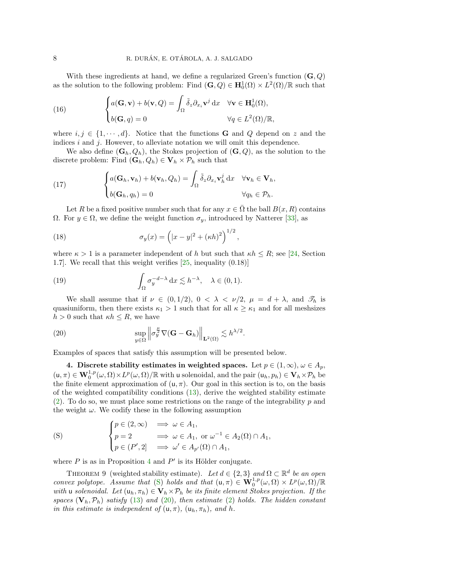With these ingredients at hand, we define a regularized Green's function  $(G, Q)$ as the solution to the following problem: Find  $(G, Q) \in H_0^1(\Omega) \times L^2(\Omega)/\mathbb{R}$  such that

<span id="page-7-4"></span>(16) 
$$
\begin{cases} a(\mathbf{G}, \mathbf{v}) + b(\mathbf{v}, Q) = \int_{\Omega} \tilde{\delta}_z \partial_{x_i} \mathbf{v}^j \, dx & \forall \mathbf{v} \in \mathbf{H}_0^1(\Omega), \\ b(\mathbf{G}, q) = 0 & \forall q \in L^2(\Omega)/\mathbb{R}, \end{cases}
$$

where  $i, j \in \{1, \dots, d\}$ . Notice that the functions **G** and Q depend on z and the indices  $i$  and  $j$ . However, to alleviate notation we will omit this dependence.

We also define  $(G_h, Q_h)$ , the Stokes projection of  $(G, Q)$ , as the solution to the discrete problem: Find  $(\mathbf{G}_h, Q_h) \in \mathbf{V}_h \times \mathcal{P}_h$  such that

<span id="page-7-3"></span>(17) 
$$
\begin{cases} a(\mathbf{G}_h, \mathbf{v}_h) + b(\mathbf{v}_h, Q_h) = \int_{\Omega} \tilde{\delta}_z \partial_{x_i} \mathbf{v}_h^j \, dx & \forall \mathbf{v}_h \in \mathbf{V}_h, \\ b(\mathbf{G}_h, q_h) = 0 & \forall q_h \in \mathcal{P}_h. \end{cases}
$$

Let R be a fixed positive number such that for any  $x \in \Omega$  the ball  $B(x, R)$  contains Ω. For *y* ∈ Ω, we define the weight function  $σ<sub>y</sub>$ , introduced by Natterer [\[33\]](#page-19-9), as

<span id="page-7-5"></span>(18) 
$$
\sigma_y(x) = (|x - y|^2 + (\kappa h)^2)^{1/2},
$$

where  $\kappa > 1$  is a parameter independent of h but such that  $\kappa h \leq R$ ; see [\[24,](#page-18-5) Section 1.7]. We recall that this weight verifies [\[25,](#page-18-4) inequality (0.18)]

<span id="page-7-6"></span>(19) 
$$
\int_{\Omega} \sigma_y^{-d-\lambda} dx \lesssim h^{-\lambda}, \quad \lambda \in (0,1).
$$

We shall assume that if  $\nu \in (0, 1/2)$ ,  $0 < \lambda < \nu/2$ ,  $\mu = d + \lambda$ , and  $\mathcal{I}_h$  is quasiuniform, then there exists  $\kappa_1 > 1$  such that for all  $\kappa \geq \kappa_1$  and for all meshsizes  $h > 0$  such that  $\kappa h \leq R$ , we have

<span id="page-7-2"></span>(20) 
$$
\sup_{y \in \Omega} \left\| \sigma_y^{\frac{\mu}{2}} \nabla (\mathbf{G} - \mathbf{G}_h) \right\|_{\mathbf{L}^2(\Omega)} \lesssim h^{\lambda/2}.
$$

Examples of spaces that satisfy this assumption will be presented below.

<span id="page-7-0"></span>4. Discrete stability estimates in weighted spaces. Let  $p \in (1,\infty), \omega \in A_p$ ,  $(u, \pi) \in \mathbf{W}_0^{1,p}(\omega, \Omega) \times L^p(\omega, \Omega) / \mathbb{R}$  with u solenoidal, and the pair  $(u_h, p_h) \in \mathbf{V}_h \times \mathcal{P}_h$  be the finite element approximation of  $(u, \pi)$ . Our goal in this section is to, on the basis of the weighted compatibility conditions [\(13\)](#page-5-1), derive the weighted stability estimate [\(2\)](#page-0-1). To do so, we must place some restrictions on the range of the integrability  $p$  and the weight  $\omega$ . We codify these in the following assumption

<span id="page-7-1"></span>(S) 
$$
\begin{cases} p \in (2, \infty) & \implies \omega \in A_1, \\ p = 2 & \implies \omega \in A_1, \text{ or } \omega^{-1} \in A_2(\Omega) \cap A_1, \\ p \in (P', 2] & \implies \omega' \in A_{p'}(\Omega) \cap A_1, \end{cases}
$$

where  $P$  is as in Proposition [4](#page-4-2) and  $P'$  is its Hölder conjugate.

<span id="page-7-7"></span>THEOREM 9 (weighted stability estimate). Let  $d \in \{2,3\}$  and  $\Omega \subset \mathbb{R}^d$  be an open convex polytope. Assume that [\(S\)](#page-7-1) holds and that  $(u, \pi) \in \mathbf{W}_0^{1,p}(\omega, \Omega) \times L^p(\omega, \Omega)/\mathbb{R}$ with u solenoidal. Let  $(u_h, \pi_h) \in V_h \times P_h$  be its finite element Stokes projection. If the spaces  $(V_h, \mathcal{P}_h)$  satisfy [\(13\)](#page-5-1) and [\(20\)](#page-7-2), then estimate [\(2\)](#page-0-1) holds. The hidden constant in this estimate is independent of  $(u, \pi)$ ,  $(u_h, \pi_h)$ , and h.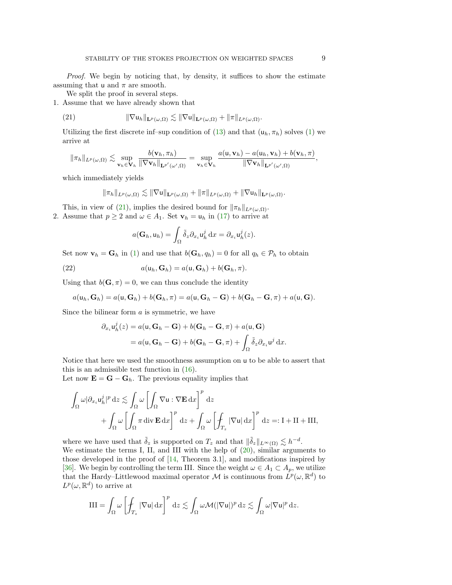Proof. We begin by noticing that, by density, it suffices to show the estimate assuming that  $\mu$  and  $\pi$  are smooth.

We split the proof in several steps.

1. Assume that we have already shown that

<span id="page-8-0"></span>(21) 
$$
\|\nabla \mathsf{u}_h\|_{\mathbf{L}^p(\omega,\Omega)} \lesssim \|\nabla \mathsf{u}\|_{\mathbf{L}^p(\omega,\Omega)} + \|\pi\|_{L^p(\omega,\Omega)}.
$$

Utilizing the first discrete inf–sup condition of [\(13\)](#page-5-1) and that  $(\mathsf{u}_h, \pi_h)$  solves [\(1\)](#page-0-2) we arrive at

$$
\|\pi_h\|_{L^p(\omega,\Omega)} \lesssim \sup_{\mathbf{v}_h \in \mathbf{V}_h} \frac{b(\mathbf{v}_h, \pi_h)}{\|\nabla \mathbf{v}_h\|_{\mathbf{L}^{p'}(\omega',\Omega)}} = \sup_{\mathbf{v}_h \in \mathbf{V}_h} \frac{a(\mathbf{u}, \mathbf{v}_h) - a(\mathbf{u}_h, \mathbf{v}_h) + b(\mathbf{v}_h, \pi)}{\|\nabla \mathbf{v}_h\|_{\mathbf{L}^{p'}(\omega',\Omega)}},
$$

which immediately yields

$$
\|\pi_h\|_{L^p(\omega,\Omega)} \lesssim \|\nabla \mathbf{u}\|_{\mathbf{L}^p(\omega,\Omega)} + \|\pi\|_{L^p(\omega,\Omega)} + \|\nabla \mathbf{u}_h\|_{\mathbf{L}^p(\omega,\Omega)}.
$$

This, in view of [\(21\)](#page-8-0), implies the desired bound for  $\|\pi_h\|_{L^p(\omega,\Omega)}$ .

2. Assume that  $p \ge 2$  and  $\omega \in A_1$ . Set  $\mathbf{v}_h = \mathbf{u}_h$  in [\(17\)](#page-7-3) to arrive at

$$
a(\mathbf{G}_h, \mathbf{u}_h) = \int_{\Omega} \tilde{\delta}_z \partial_{x_i} \mathbf{u}_h^j \, \mathrm{d}x = \partial_{x_i} \mathbf{u}_h^j(z).
$$

Set now  $\mathbf{v}_h = \mathbf{G}_h$  in [\(1\)](#page-0-2) and use that  $b(\mathbf{G}_h, q_h) = 0$  for all  $q_h \in \mathcal{P}_h$  to obtain

(22) 
$$
a(\mathsf{u}_h, \mathbf{G}_h) = a(\mathsf{u}, \mathbf{G}_h) + b(\mathbf{G}_h, \pi).
$$

Using that  $b(\mathbf{G}, \pi) = 0$ , we can thus conclude the identity

$$
a(\mathsf{u}_h,\mathbf{G}_h)=a(\mathsf{u},\mathbf{G}_h)+b(\mathbf{G}_h,\pi)=a(\mathsf{u},\mathbf{G}_h-\mathbf{G})+b(\mathbf{G}_h-\mathbf{G},\pi)+a(\mathsf{u},\mathbf{G}).
$$

Since the bilinear form  $a$  is symmetric, we have

$$
\partial_{x_i} u_h^j(z) = a(\mathbf{u}, \mathbf{G}_h - \mathbf{G}) + b(\mathbf{G}_h - \mathbf{G}, \pi) + a(\mathbf{u}, \mathbf{G})
$$
  
=  $a(\mathbf{u}, \mathbf{G}_h - \mathbf{G}) + b(\mathbf{G}_h - \mathbf{G}, \pi) + \int_{\Omega} \tilde{\delta}_z \partial_{x_i} \mathbf{u}^j \, \mathrm{d}x.$ 

Notice that here we used the smoothness assumption on u to be able to assert that this is an admissible test function in [\(16\)](#page-7-4).

Let now  $\mathbf{E} = \mathbf{G} - \mathbf{G}_h$ . The previous equality implies that

$$
\int_{\Omega} \omega |\partial_{x_i} u_h^j|^p dz \lesssim \int_{\Omega} \omega \left[ \int_{\Omega} \nabla u : \nabla \mathbf{E} \, dx \right]^p dz \n+ \int_{\Omega} \omega \left[ \int_{\Omega} \pi \operatorname{div} \mathbf{E} \, dx \right]^p dz + \int_{\Omega} \omega \left[ \int_{T_z} |\nabla u| dx \right]^p dz =: I + II + III,
$$

where we have used that  $\tilde{\delta}_z$  is supported on  $T_z$  and that  $\|\tilde{\delta}_z\|_{L^{\infty}(\Omega)} \lesssim h^{-d}$ . We estimate the terms I, II, and III with the help of [\(20\)](#page-7-2), similar arguments to those developed in the proof of [\[14,](#page-18-7) Theorem 3.1], and modifications inspired by [\[36\]](#page-19-10). We begin by controlling the term III. Since the weight  $\omega \in A_1 \subset A_p$ , we utilize that the Hardy–Littlewood maximal operator M is continuous from  $\hat{L}^p(\omega,\mathbb{R}^d)$  to  $L^p(\omega,\mathbb{R}^d)$  to arrive at

$$
III = \int_{\Omega} \omega \left[ \int_{T_z} |\nabla u| \,dx \right]^p \,dz \lesssim \int_{\Omega} \omega \mathcal{M}(|\nabla u|)^p \,dz \lesssim \int_{\Omega} \omega |\nabla u|^p \,dz.
$$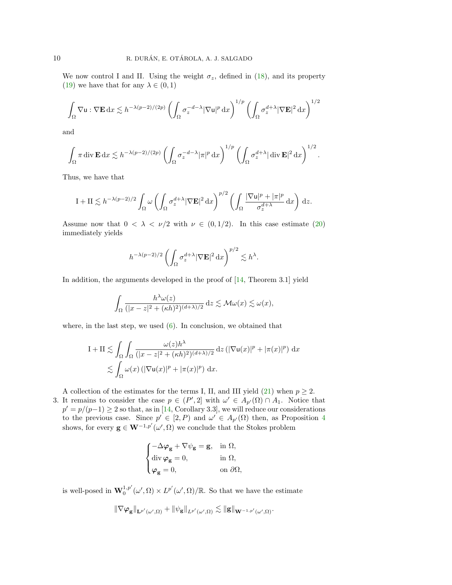We now control I and II. Using the weight  $\sigma_z$ , defined in [\(18\)](#page-7-5), and its property [\(19\)](#page-7-6) we have that for any  $\lambda \in (0,1)$ 

$$
\int_\Omega \nabla \mathbf{u}:\nabla \mathbf{E}\,\mathrm{d} x\lesssim h^{-\lambda(p-2)/(2p)}\left(\int_\Omega \sigma_z^{-d-\lambda}|\nabla \mathbf{u}|^p\,\mathrm{d} x\right)^{1/p}\left(\int_\Omega \sigma_z^{d+\lambda}|\nabla \mathbf{E}|^2\,\mathrm{d} x\right)^{1/2}
$$

and

$$
\int_{\Omega} \pi \operatorname{div} \mathbf{E} \, dx \lesssim h^{-\lambda(p-2)/(2p)} \left( \int_{\Omega} \sigma_z^{-d-\lambda} |\pi|^p \, dx \right)^{1/p} \left( \int_{\Omega} \sigma_z^{d+\lambda} |\operatorname{div} \mathbf{E}|^2 \, dx \right)^{1/2}.
$$

Thus, we have that

$$
I + II \lesssim h^{-\lambda(p-2)/2} \int_{\Omega} \omega \left( \int_{\Omega} \sigma_z^{d+\lambda} |\nabla \mathbf{E}|^2 dx \right)^{p/2} \left( \int_{\Omega} \frac{|\nabla \mathbf{u}|^p + |\pi|^p}{\sigma_z^{d+\lambda}} dx \right) dz.
$$

Assume now that  $0 < \lambda < \nu/2$  with  $\nu \in (0, 1/2)$ . In this case estimate [\(20\)](#page-7-2) immediately yields

$$
h^{-\lambda(p-2)/2} \left( \int_{\Omega} \sigma_z^{d+\lambda} |\nabla \mathbf{E}|^2 \,\mathrm{d}x \right)^{p/2} \lesssim h^{\lambda}.
$$

In addition, the arguments developed in the proof of  $[14,$  Theorem 3.1] yield

$$
\int_{\Omega} \frac{h^{\lambda} \omega(z)}{(|x - z|^2 + (\kappa h)^2)^{(d + \lambda)/2}} dz \lesssim \mathcal{M}\omega(x) \lesssim \omega(x),
$$

where, in the last step, we used  $(6)$ . In conclusion, we obtained that

$$
I + II \lesssim \int_{\Omega} \int_{\Omega} \frac{\omega(z) h^{\lambda}}{(|x - z|^2 + (\kappa h)^2)^{(d + \lambda)/2}} dz (|\nabla u(x)|^p + |\pi(x)|^p) dx
$$
  

$$
\lesssim \int_{\Omega} \omega(x) (|\nabla u(x)|^p + |\pi(x)|^p) dx.
$$

A collection of the estimates for the terms I, II, and III yield [\(21\)](#page-8-0) when  $p \geq 2$ .

3. It remains to consider the case  $p \in (P', 2]$  with  $\omega' \in A_{p'}(\Omega) \cap A_1$ . Notice that  $p' = p/(p-1) \ge 2$  so that, as in [\[14,](#page-18-7) Corollary 3.3], we will reduce our considerations to the previous case. Since  $p' \in [2, P)$  and  $\omega' \in A_{p'}(\Omega)$  then, as Proposition [4](#page-4-2) shows, for every  $\mathbf{g} \in \mathbf{W}^{-1,p'}(\omega',\Omega)$  we conclude that the Stokes problem

$$
\begin{cases} -\Delta \varphi_{\bf g} + \nabla \psi_{\bf g} = {\bf g}, & \text{in } \Omega, \\ \operatorname{div} \varphi_{\bf g} = 0, & \text{in } \Omega, \\ \varphi_{\bf g} = 0, & \text{on } \partial \Omega, \end{cases}
$$

is well-posed in  $\mathbf{W}_0^{1,p'}(\omega', \Omega) \times L^{p'}(\omega', \Omega)/\mathbb{R}$ . So that we have the estimate

$$
\|\nabla\varphi_{\mathbf{g}}\|_{\mathbf{L}^{p'}(\omega',\Omega)} + \|\psi_{\mathbf{g}}\|_{L^{p'}(\omega',\Omega)} \lesssim \|\mathbf{g}\|_{\mathbf{W}^{-1,p'}(\omega',\Omega)}.
$$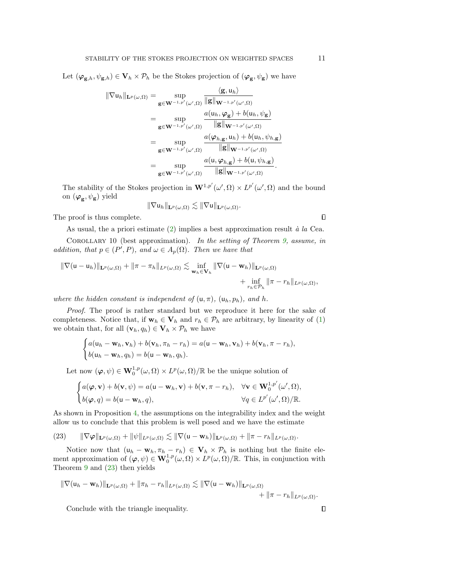Let  $(\varphi_{\mathbf{g},h}, \psi_{\mathbf{g},h}) \in \mathbf{V}_h \times \mathcal{P}_h$  be the Stokes projection of  $(\varphi_{\mathbf{g}}, \psi_{\mathbf{g}})$  we have

$$
\|\nabla u_h\|_{\mathbf{L}^p(\omega,\Omega)} = \sup_{\mathbf{g}\in\mathbf{W}^{-1,p'}(\omega',\Omega)} \frac{\langle \mathbf{g}, u_h \rangle}{\|\mathbf{g}\|_{\mathbf{W}^{-1,p'}(\omega',\Omega)}} \n= \sup_{\mathbf{g}\in\mathbf{W}^{-1,p'}(\omega',\Omega)} \frac{a(u_h,\varphi_{\mathbf{g}}) + b(u_h,\psi_{\mathbf{g}})}{\|\mathbf{g}\|_{\mathbf{W}^{-1,p'}(\omega',\Omega)}} \n= \sup_{\mathbf{g}\in\mathbf{W}^{-1,p'}(\omega',\Omega)} \frac{a(\varphi_{h,\mathbf{g}},u_h) + b(u_h,\psi_{h,\mathbf{g}})}{\|\mathbf{g}\|_{\mathbf{W}^{-1,p'}(\omega',\Omega)}} \n= \sup_{\mathbf{g}\in\mathbf{W}^{-1,p'}(\omega',\Omega)} \frac{a(u,\varphi_{h,\mathbf{g}}) + b(u,\psi_{h,\mathbf{g}})}{\|\mathbf{g}\|_{\mathbf{W}^{-1,p'}(\omega',\Omega)}}.
$$

The stability of the Stokes projection in  $\mathbf{W}^{1,p'}(\omega',\Omega) \times L^{p'}(\omega',\Omega)$  and the bound on  $(\boldsymbol{\varphi}_{\mathbf{g}}, \psi_{\mathbf{g}})$  yield

$$
\|\nabla \mathsf{u}_h\|_{\mathbf{L}^p(\omega,\Omega)} \lesssim \|\nabla \mathsf{u}\|_{\mathbf{L}^p(\omega,\Omega)}.
$$

The proof is thus complete.

As usual, the a priori estimate  $(2)$  implies a best approximation result à la Cea.

<span id="page-10-1"></span>COROLLARY 10 (best approximation). In the setting of Theorem [9,](#page-7-7) assume, in addition, that  $p \in (P', P)$ , and  $\omega \in A_p(\Omega)$ . Then we have that

$$
\|\nabla(\mathbf{u}-\mathbf{u}_h)\|_{\mathbf{L}^p(\omega,\Omega)}+\|\pi-\pi_h\|_{L^p(\omega,\Omega)}\lesssim \inf_{\mathbf{w}_h\in\mathbf{V}_h} \|\nabla(\mathbf{u}-\mathbf{w}_h)\|_{\mathbf{L}^p(\omega,\Omega)}\\+\inf_{r_h\in\mathcal{P}_h} \|\pi-r_h\|_{L^p(\omega,\Omega)},
$$

where the hidden constant is independent of  $(u, \pi)$ ,  $(u_h, p_h)$ , and h.

Proof. The proof is rather standard but we reproduce it here for the sake of completeness. Notice that, if  $\mathbf{w}_h \in \mathbf{V}_h$  and  $r_h \in \mathcal{P}_h$  are arbitrary, by linearity of [\(1\)](#page-0-2) we obtain that, for all  $(\mathbf{v}_h, q_h) \in \mathbf{V}_h \times \mathcal{P}_h$  we have

$$
\begin{cases} a(\mathbf{u}_h - \mathbf{w}_h, \mathbf{v}_h) + b(\mathbf{v}_h, \pi_h - r_h) = a(\mathbf{u} - \mathbf{w}_h, \mathbf{v}_h) + b(\mathbf{v}_h, \pi - r_h), \\ b(\mathbf{u}_h - \mathbf{w}_h, q_h) = b(\mathbf{u} - \mathbf{w}_h, q_h). \end{cases}
$$

Let now  $(\varphi, \psi) \in \mathbf{W}_0^{1,p}(\omega, \Omega) \times L^p(\omega, \Omega) / \mathbb{R}$  be the unique solution of

$$
\begin{cases} a(\boldsymbol{\varphi}, \mathbf{v}) + b(\mathbf{v}, \psi) = a(\mathbf{u} - \mathbf{w}_h, \mathbf{v}) + b(\mathbf{v}, \pi - r_h), & \forall \mathbf{v} \in \mathbf{W}_0^{1, p'}(\omega', \Omega), \\ b(\boldsymbol{\varphi}, q) = b(\mathbf{u} - \mathbf{w}_h, q), & \forall q \in L^{p'}(\omega', \Omega)/\mathbb{R}. \end{cases}
$$

As shown in Proposition [4,](#page-4-2) the assumptions on the integrability index and the weight allow us to conclude that this problem is well posed and we have the estimate

<span id="page-10-0"></span>(23) 
$$
\|\nabla \varphi\|_{\mathbf{L}^p(\omega,\Omega)} + \|\psi\|_{L^p(\omega,\Omega)} \lesssim \|\nabla (\mathbf{u} - \mathbf{w}_h)\|_{\mathbf{L}^p(\omega,\Omega)} + \|\pi - r_h\|_{L^p(\omega,\Omega)}.
$$

Notice now that  $(\mathsf{u}_h - \mathsf{w}_h, \pi_h - r_h) \in \mathbf{V}_h \times \mathcal{P}_h$  is nothing but the finite element approximation of  $(\varphi, \psi) \in \mathbf{W}_0^{1,p}(\omega, \Omega) \times L^p(\omega, \Omega) / \mathbb{R}$ . This, in conjunction with Theorem [9](#page-7-7) and [\(23\)](#page-10-0) then yields

$$
\|\nabla(\mathsf{u}_h-\mathbf{w}_h)\|_{\mathbf{L}^p(\omega,\Omega)}+\|\pi_h-r_h\|_{L^p(\omega,\Omega)}\lesssim \|\nabla(\mathsf{u}-\mathbf{w}_h)\|_{\mathbf{L}^p(\omega,\Omega)}\\+\|\pi-r_h\|_{L^p(\omega,\Omega)}.
$$

Conclude with the triangle inequality.

 $\Box$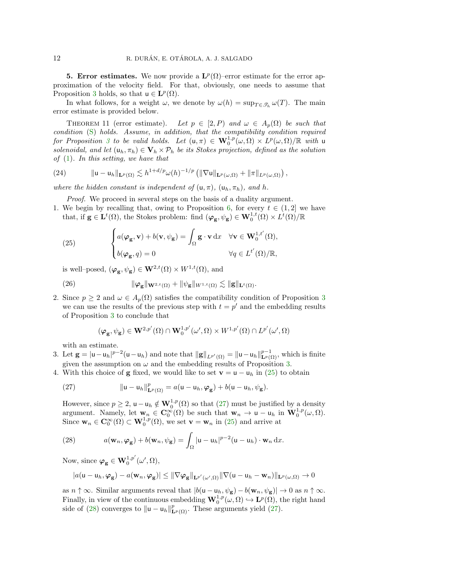<span id="page-11-0"></span>**5. Error estimates.** We now provide a  $\mathbf{L}^p(\Omega)$ -error estimate for the error approximation of the velocity field. For that, obviously, one needs to assume that Proposition [3](#page-4-3) holds, so that  $u \in L^p(\Omega)$ .

In what follows, for a weight  $\omega$ , we denote by  $\omega(h) = \sup_{T \in \mathcal{S}_h} \omega(T)$ . The main error estimate is provided below.

<span id="page-11-5"></span>THEOREM 11 (error estimate). Let  $p \in [2, P)$  and  $\omega \in A_p(\Omega)$  be such that condition [\(S\)](#page-7-1) holds. Assume, in addition, that the compatibility condition required for Proposition [3](#page-4-3) to be valid holds. Let  $(u, \pi) \in \mathbf{W}_0^{1,p}(\omega, \Omega) \times L^p(\omega, \Omega)/\mathbb{R}$  with u solenoidal, and let  $(\mathsf{u}_h, \pi_h) \in \mathbf{V}_h \times \mathcal{P}_h$  be its Stokes projection, defined as the solution of  $(1)$ . In this setting, we have that

(24) 
$$
\| \mathsf{u} - \mathsf{u}_h \|_{\mathbf{L}^p(\Omega)} \lesssim h^{1+d/p} \omega(h)^{-1/p} \left( \|\nabla \mathsf{u}\|_{\mathbf{L}^p(\omega,\Omega)} + \|\pi\|_{L^p(\omega,\Omega)} \right),
$$

where the hidden constant is independent of  $(u, \pi)$ ,  $(u_h, \pi_h)$ , and h.

Proof. We proceed in several steps on the basis of a duality argument.

1. We begin by recalling that, owing to Proposition [6,](#page-5-2) for every  $t \in (1,2]$  we have that, if  $g \in L^t(\Omega)$ , the Stokes problem: find  $(\varphi_g, \psi_g) \in W_0^{1,t}(\Omega) \times L^t(\Omega)/\mathbb{R}$ 

<span id="page-11-1"></span>(25) 
$$
\begin{cases} a(\boldsymbol{\varphi}_{\mathbf{g}}, \mathbf{v}) + b(\mathbf{v}, \psi_{\mathbf{g}}) = \int_{\Omega} \mathbf{g} \cdot \mathbf{v} \, dx & \forall \mathbf{v} \in \mathbf{W}_{0}^{1, t'}(\Omega), \\ b(\boldsymbol{\varphi}_{\mathbf{g}}, q) = 0 & \forall q \in L^{t'}(\Omega)/\mathbb{R}, \end{cases}
$$

is well–posed,  $(\varphi_{\mathbf{g}}, \psi_{\mathbf{g}}) \in \mathbf{W}^{2,t}(\Omega) \times W^{1,t}(\Omega)$ , and

(26) 
$$
\|\varphi_{\mathbf{g}}\|_{\mathbf{W}^{2,t}(\Omega)} + \|\psi_{\mathbf{g}}\|_{W^{1,t}(\Omega)} \lesssim \|\mathbf{g}\|_{\mathbf{L}^{t}(\Omega)}.
$$

2. Since  $p \geq 2$  and  $\omega \in A_p(\Omega)$  satisfies the compatibility condition of Proposition [3](#page-4-3) we can use the results of the previous step with  $t = p'$  and the embedding results of Proposition [3](#page-4-3) to conclude that

<span id="page-11-4"></span>
$$
(\varphi_{\mathbf{g}}, \psi_{\mathbf{g}}) \in \mathbf{W}^{2, p'}(\Omega) \cap \mathbf{W}^{1, p'}_{0}(\omega', \Omega) \times W^{1, p'}(\Omega) \cap L^{p'}(\omega', \Omega)
$$

with an estimate.

3. Let  $\mathbf{g} = |\mathbf{u} - \mathbf{u}_h|^{p-2} (\mathbf{u} - \mathbf{u}_h)$  and note that  $\|\mathbf{g}\|_{L^{p'}(\Omega)} = \|\mathbf{u} - \mathbf{u}_h\|_{L^p(\Omega)}^{p-1}$ , which is finite given the assumption on  $\omega$  and the embedding results of Proposition [3.](#page-4-3)

4. With this choice of **g** fixed, we would like to set  $\mathbf{v} = \mathbf{u} - \mathbf{u}_h$  in [\(25\)](#page-11-1) to obtain

<span id="page-11-2"></span>(27) 
$$
\| \mathbf{u} - \mathbf{u}_h \|_{\mathbf{L}^p(\Omega)}^p = a(\mathbf{u} - \mathbf{u}_h, \boldsymbol{\varphi}_{\mathbf{g}}) + b(\mathbf{u} - \mathbf{u}_h, \psi_{\mathbf{g}}).
$$

However, since  $p \geq 2$ ,  $u - u_h \notin \mathbf{W}_0^{1,p}(\Omega)$  so that  $(27)$  must be justified by a density argument. Namely, let  $\mathbf{w}_n \in \mathbf{C}_0^{\infty}(\Omega)$  be such that  $\mathbf{w}_n \to \mathbf{u} - \mathbf{u}_h$  in  $\mathbf{W}_0^{1,p}(\omega,\Omega)$ . Since  $\mathbf{w}_n \in \mathbf{C}_0^{\infty}(\Omega) \subset \mathbf{W}_0^{1,p}(\Omega)$ , we set  $\mathbf{v} = \mathbf{w}_n$  in [\(25\)](#page-11-1) and arrive at

<span id="page-11-3"></span>(28) 
$$
a(\mathbf{w}_n, \boldsymbol{\varphi}_{\mathbf{g}}) + b(\mathbf{w}_n, \psi_{\mathbf{g}}) = \int_{\Omega} |\mathbf{u} - \mathbf{u}_h|^{p-2} (\mathbf{u} - \mathbf{u}_h) \cdot \mathbf{w}_n \, dx.
$$

Now, since  $\boldsymbol{\varphi}_{\mathbf{g}} \in \mathbf{W}_0^{1,p'}(\omega', \Omega)$ ,

$$
|a(\mathbf{u}-\mathbf{u}_h,\varphi_{\mathbf{g}})-a(\mathbf{w}_n,\varphi_{\mathbf{g}})| \leq \|\nabla \varphi_{\mathbf{g}}\|_{\mathbf{L}^{p'}(\omega',\Omega)} \|\nabla (\mathbf{u}-\mathbf{u}_h-\mathbf{w}_n)\|_{\mathbf{L}^p(\omega,\Omega)} \to 0
$$

as  $n \uparrow \infty$ . Similar arguments reveal that  $|b(\mathsf{u}-\mathsf{u}_h, \psi_{\mathsf{g}}) - b(\mathsf{w}_n, \psi_{\mathsf{g}})| \to 0$  as  $n \uparrow \infty$ . Finally, in view of the continuous embedding  $\mathbf{W}_0^{1,p}(\omega,\Omega) \hookrightarrow \mathbf{L}^p(\Omega)$ , the right hand side of [\(28\)](#page-11-3) converges to  $\|u - u_h\|_{\mathbf{L}^p(\Omega)}^p$ . These arguments yield [\(27\)](#page-11-2).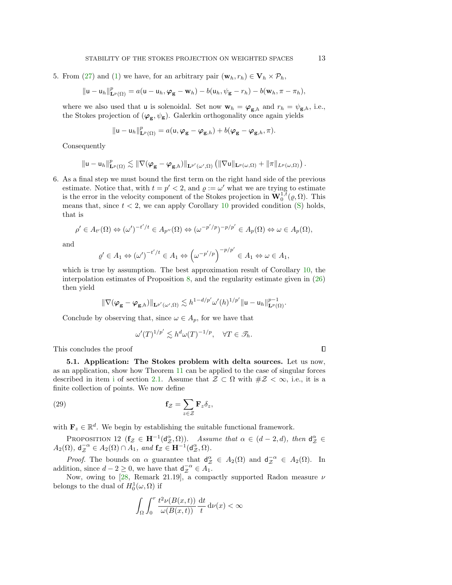5. From [\(27\)](#page-11-2) and [\(1\)](#page-0-2) we have, for an arbitrary pair  $(\mathbf{w}_h, r_h) \in \mathbf{V}_h \times \mathcal{P}_h$ ,

$$
\|\mathbf{u}-\mathbf{u}_h\|_{\mathbf{L}^p(\Omega)}^p=a(\mathbf{u}-\mathbf{u}_h,\boldsymbol{\varphi}_{\mathbf{g}}-\mathbf{w}_h)-b(\mathbf{u}_h,\psi_{\mathbf{g}}-r_h)-b(\mathbf{w}_h,\pi-\pi_h),
$$

where we also used that u is solenoidal. Set now  $\mathbf{w}_h = \boldsymbol{\varphi}_{\mathbf{g},h}$  and  $r_h = \psi_{\mathbf{g},h}$ , i.e., the Stokes projection of  $(\varphi_g, \psi_g)$ . Galerkin orthogonality once again yields

$$
\|\mathbf{u}-\mathbf{u}_h\|_{\mathbf{L}^p(\Omega)}^p=a(\mathbf{u},\boldsymbol{\varphi}_\mathbf{g}-\boldsymbol{\varphi}_{\mathbf{g},h})+b(\boldsymbol{\varphi}_\mathbf{g}-\boldsymbol{\varphi}_{\mathbf{g},h},\pi).
$$

Consequently

$$
\|{\mathsf{u}}-{\mathsf{u}}_h\|_{{\bf L}^p(\Omega)}^p\lesssim \|\nabla (\varphi_{\mathsf{g}}-\varphi_{{\mathsf{g}},h})\|_{{\bf L}^{p'}(\omega',\Omega)}\left(\|\nabla{\mathsf{u}}\|_{{\bf L}^p(\omega,\Omega)}+\|\pi\|_{L^p(\omega,\Omega)}\right).
$$

6. As a final step we must bound the first term on the right hand side of the previous estimate. Notice that, with  $t = p' < 2$ , and  $\rho := \omega'$  what we are trying to estimate is the error in the velocity component of the Stokes projection in  $\mathbf{W}_0^{1,\tilde{t}}(\varrho,\Omega)$ . This means that, since  $t < 2$ , we can apply Corollary [10](#page-10-1) provided condition  $(S)$  holds, that is

$$
\rho' \in A_{t'}(\Omega) \Leftrightarrow (\omega')^{-t'/t} \in A_{p''}(\Omega) \Leftrightarrow (\omega^{-p'/p})^{-p/p'} \in A_p(\Omega) \Leftrightarrow \omega \in A_p(\Omega),
$$

and

$$
\varrho' \in A_1 \Leftrightarrow (\omega')^{-t'/t} \in A_1 \Leftrightarrow (\omega^{-p'/p})^{-p/p'} \in A_1 \Leftrightarrow \omega \in A_1,
$$

which is true by assumption. The best approximation result of Corollary [10,](#page-10-1) the interpolation estimates of Proposition [8,](#page-6-0) and the regularity estimate given in [\(26\)](#page-11-4) then yield

$$
\|\nabla (\varphi_{\mathbf{g}}-\varphi_{{\mathbf{g}},h})\|_{{\bf L}^{p'}(\omega',\Omega)}\lesssim h^{1-d/p'}\omega'(h)^{1/p'}\|{\bf u}-{\bf u}_h\|^{p-1}_{{\bf L}^p(\Omega)}.
$$

Conclude by observing that, since  $\omega \in A_p$ , for we have that

$$
\omega'(T)^{1/p'} \lesssim h^d \omega(T)^{-1/p}, \quad \forall T \in \mathcal{I}_h.
$$

This concludes the proof

5.1. Application: The Stokes problem with delta sources. Let us now, as an application, show how Theorem [11](#page-11-5) can be applied to the case of singular forces descr[i](#page-3-0)bed in item i of section [2.1.](#page-2-1) Assume that  $\mathcal{Z} \subset \Omega$  with  $\#\mathcal{Z} < \infty$ , i.e., it is a finite collection of points. We now define

(29) 
$$
\mathbf{f}_{\mathcal{Z}} = \sum_{z \in \mathcal{Z}} \mathbf{F}_z \delta_z,
$$

with  $\mathbf{F}_z \in \mathbb{R}^d$ . We begin by establishing the suitable functional framework.

<span id="page-12-0"></span>PROPOSITION 12  $(f_{\mathcal{Z}} \in \mathbf{H}^{-1}(\mathsf{d}_{\mathcal{Z}}^{\alpha}, \Omega)).$  Assume that  $\alpha \in (d-2, d)$ , then  $\mathsf{d}_{\mathcal{Z}}^{\alpha} \in$  $A_2(\Omega)$ ,  $d_{\mathcal{Z}}^{-\alpha} \in A_2(\Omega) \cap A_1$ , and  $f_{\mathcal{Z}} \in \mathbf{H}^{-1}(d_{\mathcal{Z}}^{\alpha}, \Omega)$ .

*Proof.* The bounds on  $\alpha$  guarantee that  $d_{\mathcal{Z}}^{\alpha} \in A_2(\Omega)$  and  $d_{\mathcal{Z}}^{-\alpha} \in A_2(\Omega)$ . In addition, since  $d - 2 \geq 0$ , we have that  $d_{\mathcal{Z}}^{-\alpha} \in \widetilde{A_1}$ .

Now, owing to [\[28,](#page-19-11) Remark 21.19], a compactly supported Radon measure  $\nu$ belongs to the dual of  $H_0^1(\omega,\Omega)$  if

$$
\int_\Omega \int_0^r \frac{t^2 \nu(B(x,t))}{\omega(B(x,t))} \frac{{\rm d} t}{t} \, {\rm d} \nu(x) < \infty
$$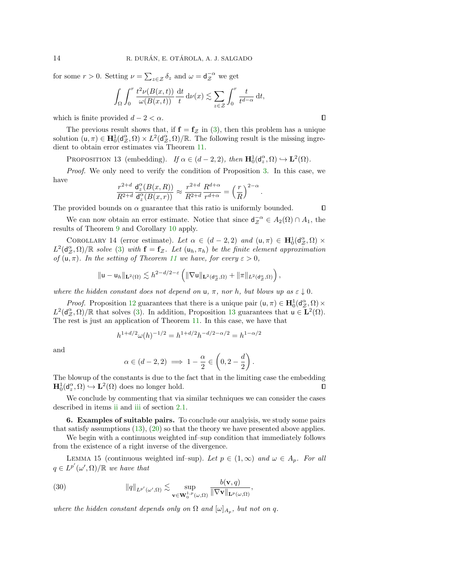for some  $r > 0$ . Setting  $\nu = \sum_{z \in \mathcal{Z}} \delta_z$  and  $\omega = \mathsf{d}_{\mathcal{Z}}^{-\alpha}$  we get

$$
\int_{\Omega} \int_0^r \frac{t^2 \nu(B(x,t))}{\omega(B(x,t))} \frac{\mathrm{d}t}{t} \, \mathrm{d}\nu(x) \lesssim \sum_{z \in \mathcal{Z}} \int_0^r \frac{t}{t^{d-\alpha}} \, \mathrm{d}t,
$$

which is finite provided  $d - 2 < \alpha$ .

The previous result shows that, if  $f = f_z$  in [\(3\)](#page-0-0), then this problem has a unique solution  $(u, \pi) \in H_0^1(d_{\mathcal{Z}}^{\alpha}, \Omega) \times L^2(d_{\mathcal{Z}}^{\alpha}, \Omega)/\mathbb{R}$ . The following result is the missing ingredient to obtain error estimates via Theorem [11.](#page-11-5)

<span id="page-13-1"></span>PROPOSITION 13 (embedding). If  $\alpha \in (d-2, 2)$ , then  $\mathbf{H}_0^1(\mathsf{d}_z^{\alpha}, \Omega) \hookrightarrow \mathbf{L}^2(\Omega)$ .

Proof. We only need to verify the condition of Proposition [3.](#page-4-3) In this case, we have

$$
\frac{r^{2+d}}{R^{2+d}}\frac{\mathrm{d}_z^{\alpha}(B(x,R))}{\mathrm{d}_z^{\alpha}(B(x,r))} \approx \frac{r^{2+d}}{R^{2+d}}\frac{R^{d+\alpha}}{r^{d+\alpha}} = \left(\frac{r}{R}\right)^{2-\alpha}.
$$

The provided bounds on  $\alpha$  guarantee that this ratio is uniformly bounded.

We can now obtain an error estimate. Notice that since  $d_{\mathcal{Z}}^{-\alpha} \in A_2(\Omega) \cap A_1$ , the results of Theorem [9](#page-7-7) and Corollary [10](#page-10-1) apply.

COROLLARY 14 (error estimate). Let  $\alpha \in (d-2, 2)$  and  $(\mathsf{u}, \pi) \in \mathbf{H}_0^1(\mathsf{d}_z^{\alpha}, \Omega) \times$  $L^2(d_{\mathcal{Z}}^{\alpha}, \Omega)/\mathbb{R}$  solve [\(3\)](#page-0-0) with  $\mathbf{f} = \mathbf{f}_{\mathcal{Z}}$ . Let  $(\mathsf{u}_h, \pi_h)$  be the finite element approximation of  $(u, \pi)$ . In the setting of Theorem [11](#page-11-5) we have, for every  $\varepsilon > 0$ ,

$$
\|u-u_h\|_{{\bf L}^2(\Omega)}\lesssim h^{2-d/2-\varepsilon}\left(\|\nabla u\|_{{\bf L}^2(d_{\mathcal{Z}}^{\alpha},\Omega)}+\|\pi\|_{L^2(d_{\mathcal{Z}}^{\alpha},\Omega)}\right),
$$

where the hidden constant does not depend on u,  $\pi$ , nor h, but blows up as  $\varepsilon \downarrow 0$ .

*Proof.* Proposition [12](#page-12-0) guarantees that there is a unique pair  $(u, \pi) \in H_0^1(d_{\mathcal{Z}}^{\alpha}, \Omega) \times$  $L^2(\mathsf{d}_{\mathcal{Z}}^{\alpha},\Omega)/\mathbb{R}$  that solves [\(3\)](#page-0-0). In addition, Proposition [13](#page-13-1) guarantees that  $\mathsf{u} \in \mathbf{L}^2(\Omega)$ . The rest is just an application of Theorem [11.](#page-11-5) In this case, we have that

$$
h^{1+d/2}\omega(h)^{-1/2} = h^{1+d/2}h^{-d/2-\alpha/2} = h^{1-\alpha/2}
$$

and

$$
\alpha \in (d-2,2) \implies 1 - \frac{\alpha}{2} \in \left(0,2 - \frac{d}{2}\right).
$$

The blowup of the constants is due to the fact that in the limiting case the embedding  $\mathbf{H}_{0}^{1}(\mathsf{d}_{z}^{\alpha},\Omega) \hookrightarrow \mathbf{L}^{2}(\Omega)$  does no longer hold.  $\Box$ 

We conclude by commenting that via similar techniques we can consider the cases described in items [ii](#page-3-3) and [iii](#page-3-1) of section [2.1.](#page-2-1)

<span id="page-13-0"></span>6. Examples of suitable pairs. To conclude our analyisis, we study some pairs that satisfy assumptions  $(13)$ ,  $(20)$  so that the theory we have presented above applies.

We begin with a continuous weighted inf–sup condition that immediately follows from the existence of a right inverse of the divergence.

LEMMA 15 (continuous weighted inf–sup). Let  $p \in (1,\infty)$  and  $\omega \in A_p$ . For all  $q \in L^{p'}(\omega', \Omega)/\mathbb{R}$  we have that

<span id="page-13-2"></span>(30) 
$$
\|q\|_{L^{p'}(\omega',\Omega)} \lesssim \sup_{\mathbf{v}\in\mathbf{W}_0^{1,p}(\omega,\Omega)} \frac{b(\mathbf{v},q)}{\|\nabla \mathbf{v}\|_{\mathbf{L}^p(\omega,\Omega)}},
$$

where the hidden constant depends only on  $\Omega$  and  $[\omega]_{A_p}$ , but not on q.

 $\Box$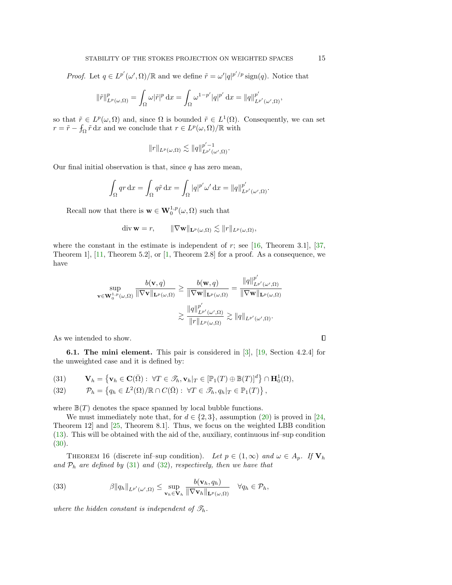*Proof.* Let  $q \in L^{p'}(\omega', \Omega)/\mathbb{R}$  and we define  $\tilde{r} = \omega' |q|^{p'/p}$  sign(q). Notice that

$$
\|\tilde{r}\|_{L^p(\omega,\Omega)}^p = \int_{\Omega} \omega |\tilde{r}|^p dx = \int_{\Omega} \omega^{1-p'} |q|^{p'} dx = ||q||_{L^{p'}(\omega',\Omega)}^{p'},
$$

so that  $\tilde{r} \in L^p(\omega, \Omega)$  and, since  $\Omega$  is bounded  $\tilde{r} \in L^1(\Omega)$ . Consequently, we can set  $r = \tilde{r} - f_{\Omega} \tilde{r} dx$  and we conclude that  $r \in L^p(\omega, \Omega)/\mathbb{R}$  with

$$
||r||_{L^p(\omega,\Omega)} \lesssim ||q||_{L^{p'}(\omega',\Omega)}^{p'-1}.
$$

Our final initial observation is that, since  $q$  has zero mean,

$$
\int_{\Omega} qr \, dx = \int_{\Omega} q \tilde{r} \, dx = \int_{\Omega} |q|^{p'} \omega' \, dx = ||q||_{L^{p'}(\omega', \Omega)}^{p'}.
$$

Recall now that there is  $\mathbf{w} \in \mathbf{W}_0^{1,p}(\omega,\Omega)$  such that

$$
\operatorname{div} \mathbf{w} = r, \qquad \|\nabla \mathbf{w}\|_{\mathbf{L}^p(\omega,\Omega)} \lesssim \|r\|_{L^p(\omega,\Omega)},
$$

where the constant in the estimate is independent of  $r$ ; see [\[16,](#page-18-21) Theorem 3.1], [\[37,](#page-19-12) Theorem 1], [\[11,](#page-18-22) Theorem 5.2], or [\[1,](#page-17-1) Theorem 2.8] for a proof. As a consequence, we have

$$
\sup_{\mathbf{v}\in\mathbf{W}_{0}^{1,p}(\omega,\Omega)}\frac{b(\mathbf{v},q)}{\|\nabla\mathbf{v}\|_{\mathbf{L}^{p}(\omega,\Omega)}}\geq\frac{b(\mathbf{w},q)}{\|\nabla\mathbf{w}\|_{\mathbf{L}^{p}(\omega,\Omega)}}=\frac{\|q\|_{L^{p'}(\omega',\Omega)}^{p'}}{\|\nabla\mathbf{w}\|_{\mathbf{L}^{p}(\omega,\Omega)}}}{\|\nabla\mathbf{w}\|_{L^{p}(\omega,\Omega)}}\geq\frac{\|q\|_{L^{p'}(\omega',\Omega)}^{p'}}{\|r\|_{L^{p}(\omega,\Omega)}}\gtrsim\|q\|_{L^{p'}(\omega',\Omega)}.
$$

As we intended to show.

<span id="page-14-2"></span>6.1. The mini element. This pair is considered in [\[3\]](#page-17-2), [\[19,](#page-18-15) Section 4.2.4] for the unweighted case and it is defined by:

<span id="page-14-0"></span>(31) 
$$
\mathbf{V}_h = \left\{ \mathbf{v}_h \in \mathbf{C}(\bar{\Omega}) : \ \forall T \in \mathscr{T}_h, \mathbf{v}_h |_T \in [\mathbb{P}_1(T) \oplus \mathbb{B}(T)]^d \right\} \cap \mathbf{H}_0^1(\Omega),
$$

<span id="page-14-1"></span>(32) 
$$
\mathcal{P}_h = \left\{ q_h \in L^2(\Omega)/\mathbb{R} \cap C(\overline{\Omega}) : \ \forall T \in \mathcal{F}_h, q_h | T \in \mathbb{P}_1(T) \right\},
$$

where  $\mathbb{B}(T)$  denotes the space spanned by local bubble functions.

We must immediately note that, for  $d \in \{2,3\}$ , assumption [\(20\)](#page-7-2) is proved in [\[24,](#page-18-5) Theorem 12] and [\[25,](#page-18-4) Theorem 8.1]. Thus, we focus on the weighted LBB condition [\(13\)](#page-5-1). This will be obtained with the aid of the, auxiliary, continuous inf–sup condition [\(30\)](#page-13-2).

THEOREM 16 (discrete inf–sup condition). Let  $p \in (1,\infty)$  and  $\omega \in A_p$ . If  $\mathbf{V}_h$ and  $\mathcal{P}_h$  are defined by [\(31\)](#page-14-0) and [\(32\)](#page-14-1), respectively, then we have that

(33) 
$$
\beta \|q_h\|_{L^{p'}(\omega',\Omega)} \leq \sup_{\mathbf{v}_h \in \mathbf{V}_h} \frac{b(\mathbf{v}_h,q_h)}{\|\nabla \mathbf{v}_h\|_{\mathbf{L}^p(\omega,\Omega)}} \quad \forall q_h \in \mathcal{P}_h,
$$

where the hidden constant is independent of  $\mathcal{T}_h$ .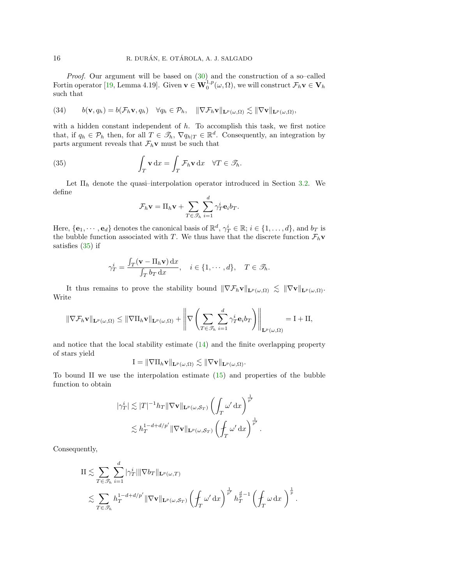Proof. Our argument will be based on [\(30\)](#page-13-2) and the construction of a so–called Fortin operator [\[19,](#page-18-15) Lemma 4.19]. Given  $\mathbf{v} \in \mathbf{W}_0^{1,p}(\omega,\Omega)$ , we will construct  $\mathcal{F}_h \mathbf{v} \in \mathbf{V}_h$ such that

(34) 
$$
b(\mathbf{v}, q_h) = b(\mathcal{F}_h \mathbf{v}, q_h) \quad \forall q_h \in \mathcal{P}_h, \quad \|\nabla \mathcal{F}_h \mathbf{v}\|_{\mathbf{L}^p(\omega,\Omega)} \lesssim \|\nabla \mathbf{v}\|_{\mathbf{L}^p(\omega,\Omega)},
$$

with a hidden constant independent of  $h$ . To accomplish this task, we first notice that, if  $q_h \in \mathcal{P}_h$  then, for all  $T \in \mathcal{I}_h$ ,  $\nabla q_{h|T} \in \mathbb{R}^d$ . Consequently, an integration by parts argument reveals that  $\mathcal{F}_h$ **v** must be such that

(35) 
$$
\int_T \mathbf{v} \, dx = \int_T \mathcal{F}_h \mathbf{v} \, dx \quad \forall T \in \mathscr{T}_h.
$$

Let  $\Pi_h$  denote the quasi-interpolation operator introduced in Section [3.2.](#page-5-3) We define

<span id="page-15-0"></span>
$$
\mathcal{F}_h \mathbf{v} = \Pi_h \mathbf{v} + \sum_{T \in \mathcal{F}_h} \sum_{i=1}^d \gamma_T^i \mathbf{e}_i b_T.
$$

Here,  $\{\mathbf{e}_1,\cdots,\mathbf{e}_d\}$  denotes the canonical basis of  $\mathbb{R}^d$ ,  $\gamma_T^i \in \mathbb{R}$ ;  $i \in \{1,\ldots,d\}$ , and  $b_T$  is the bubble function associated with T. We thus have that the discrete function  $\mathcal{F}_h \mathbf{v}$ satisfies [\(35\)](#page-15-0) if

$$
\gamma_T^i = \frac{\int_T (\mathbf{v} - \Pi_h \mathbf{v}) \, dx}{\int_T b_T \, dx}, \quad i \in \{1, \cdots, d\}, \quad T \in \mathcal{T}_h.
$$

It thus remains to prove the stability bound  $\|\nabla \mathcal{F}_h \mathbf{v}\|_{\mathbf{L}^p(\omega,\Omega)} \lesssim \|\nabla \mathbf{v}\|_{\mathbf{L}^p(\omega,\Omega)}$ . Write

$$
\|\nabla \mathcal{F}_h \mathbf{v}\|_{\mathbf{L}^p(\omega,\Omega)} \le \|\nabla \Pi_h \mathbf{v}\|_{\mathbf{L}^p(\omega,\Omega)} + \left\|\nabla \left(\sum_{T \in \mathcal{I}_h} \sum_{i=1}^d \gamma_T^i \mathbf{e}_i b_T\right)\right\|_{\mathbf{L}^p(\omega,\Omega)} = \mathbf{I} + \mathbf{II},
$$

and notice that the local stability estimate [\(14\)](#page-6-1) and the finite overlapping property of stars yield

$$
I = \|\nabla \Pi_h \mathbf{v}\|_{\mathbf{L}^p(\omega,\Omega)} \lesssim \|\nabla \mathbf{v}\|_{\mathbf{L}^p(\omega,\Omega)}.
$$

To bound II we use the interpolation estimate [\(15\)](#page-6-2) and properties of the bubble function to obtain

$$
\begin{aligned} |\gamma^i_T| \lesssim |T|^{-1} h_T \| \nabla \mathbf{v} \|_{\mathbf{L}^p(\omega, \mathcal{S}_T)} \left( \int_T \omega' \, \mathrm{d} x \right)^{\frac{1}{p'}} \\ \lesssim h_T^{1-d+d/p'} \| \nabla \mathbf{v} \|_{\mathbf{L}^p(\omega, \mathcal{S}_T)} \left( \oint_T \omega' \, \mathrm{d} x \right)^{\frac{1}{p'}}. \end{aligned}
$$

Consequently,

$$
\begin{split} & \text{II} \lesssim \sum_{T \in \mathscr{T}_h} \sum_{i=1}^d |\gamma_T^i| \|\nabla b_T\|_{\mathbf{L}^p(\omega,T)} \\ & \lesssim \sum_{T \in \mathscr{T}_h} h_T^{1-d+d/p'} \|\nabla \mathbf{v}\|_{\mathbf{L}^p(\omega,\mathcal{S}_T)} \left( \operatorname{\int}_{T} \omega' \, \mathrm{d} x \right)^{\frac{1}{p'}} h_T^{\frac{d}{p}-1} \left( \operatorname{\int}_{T} \omega \, \mathrm{d} x \right)^{\frac{1}{p}}. \end{split}
$$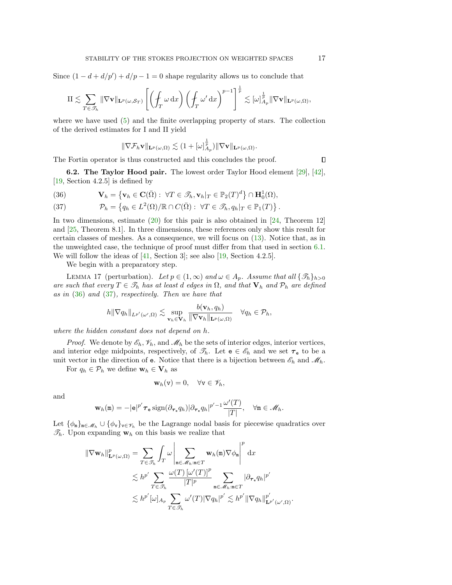Since  $(1 - d + d/p') + d/p - 1 = 0$  shape regularity allows us to conclude that

$$
\mathrm{II} \lesssim \sum_{T \in \mathscr{T}_h} \|\nabla \mathbf{v}\|_{\mathbf{L}^p(\omega, \mathcal{S}_T)} \left[ \left( \int_T \omega \, dx \right) \left( \int_T \omega' dx \right)^{p-1} \right]^{\frac{1}{p}} \lesssim [\omega]_{A_p}^{\frac{1}{p}} \|\nabla \mathbf{v}\|_{\mathbf{L}^p(\omega, \Omega)},
$$

where we have used [\(5\)](#page-2-2) and the finite overlapping property of stars. The collection of the derived estimates for I and II yield

$$
\|\nabla \mathcal{F}_h \mathbf{v}\|_{\mathbf{L}^p(\omega,\Omega)} \lesssim (1+ [\omega]_{A_p}^{\frac{1}{p}}) \|\nabla \mathbf{v}\|_{\mathbf{L}^p(\omega,\Omega)}.
$$

The Fortin operator is thus constructed and this concludes the proof.

6.2. The Taylor Hood pair. The lowest order Taylor Hood element [\[29\]](#page-19-13), [\[42\]](#page-19-14), [\[19,](#page-18-15) Section 4.2.5] is defined by

<span id="page-16-0"></span>(36) 
$$
\mathbf{V}_h = \left\{ \mathbf{v}_h \in \mathbf{C}(\bar{\Omega}) : \ \forall T \in \mathscr{T}_h, \mathbf{v}_h|_T \in \mathbb{P}_2(T)^d \right\} \cap \mathbf{H}_0^1(\Omega),
$$

<span id="page-16-1"></span>(37) 
$$
\mathcal{P}_h = \left\{ q_h \in L^2(\Omega)/\mathbb{R} \cap C(\bar{\Omega}) : \ \forall T \in \mathcal{F}_h, q_h | T \in \mathbb{P}_1(T) \right\}.
$$

In two dimensions, estimate  $(20)$  for this pair is also obtained in [\[24,](#page-18-5) Theorem 12] and [\[25,](#page-18-4) Theorem 8.1]. In three dimensions, these references only show this result for certain classes of meshes. As a consequence, we will focus on [\(13\)](#page-5-1). Notice that, as in the unweighted case, the technique of proof must differ from that used in section [6.1.](#page-14-2) We will follow the ideas of  $[41, Section 3]$ ; see also  $[19, Section 4.2.5]$ .

We begin with a preparatory step.

<span id="page-16-2"></span>LEMMA 17 (perturbation). Let  $p \in (1,\infty)$  and  $\omega \in A_p$ . Assume that all  $\{\mathcal{T}_h\}_{h>0}$ are such that every  $T \in \mathcal{T}_h$  has at least d edges in  $\Omega$ , and that  $\mathbf{V}_h$  and  $\mathcal{P}_h$  are defined as in [\(36\)](#page-16-0) and [\(37\)](#page-16-1), respectively. Then we have that

$$
h \|\nabla q_h\|_{L^{p'}(\omega',\Omega)} \lesssim \sup_{\mathbf{v}_h \in \mathbf{V}_h} \frac{b(\mathbf{v}_h,q_h)}{\|\nabla \mathbf{v}_h\|_{\mathbf{L}^p(\omega,\Omega)}} \quad \forall q_h \in \mathcal{P}_h,
$$

where the hidden constant does not depend on h.

*Proof.* We denote by  $\mathscr{E}_h$ ,  $\mathscr{V}_h$ , and  $\mathscr{M}_h$  be the sets of interior edges, interior vertices, and interior edge midpoints, respectively, of  $\mathscr{T}_h$ . Let  $e \in \mathscr{E}_h$  and we set  $\tau_e$  to be a unit vector in the direction of **e**. Notice that there is a bijection between  $\mathscr{E}_h$  and  $\mathscr{M}_h$ .

For  $q_h \in \mathcal{P}_h$  we define  $\mathbf{w}_h \in \mathbf{V}_h$  as

$$
\mathbf{w}_h(\mathbf{v})=0, \quad \forall \mathbf{v} \in \mathscr{V}_h,
$$

and

$$
\mathbf{w}_h(\mathbf{m}) = -|\mathbf{e}|^{p'} \boldsymbol{\tau}_\mathbf{e} \operatorname{sign}(\partial_{\boldsymbol{\tau}_\mathbf{e}} q_h) |\partial_{\boldsymbol{\tau}_\mathbf{e}} q_h|^{p'-1} \frac{\omega'(T)}{|T|}, \quad \forall \mathbf{m} \in \mathscr{M}_h.
$$

Let  $\{\phi_{\mathbf{n}}\}_{\mathbf{n}\in\mathscr{M}_h}\cup\{\phi_{\mathbf{v}}\}_{\mathbf{v}\in\mathscr{V}_h}$  be the Lagrange nodal basis for piecewise quadratics over  $\mathcal{T}_h$ . Upon expanding  $\mathbf{w}_h$  on this basis we realize that

$$
\begin{split} \|\nabla \mathbf{w}_{h}\|_{\mathbf{L}^{p}(\omega,\Omega)}^{p} &= \sum_{T\in\mathscr{T}_{h}}\int_{T}\omega\left|\sum_{\mathbf{m}\in\mathscr{M}_{h}:\mathbf{m}\in T}\mathbf{w}_{h}(\mathbf{m})\nabla\phi_{\mathbf{m}}\right|^{p}\mathrm{d}x\\ &\lesssim h^{p'}\sum_{T\in\mathscr{T}_{h}}\frac{\omega(T)\left[\omega'(T)\right]^{p}}{|T|^{p}}\sum_{\mathbf{m}\in\mathscr{M}_{h}:\mathbf{m}\in T}|\partial_{\boldsymbol{\tau}_{e}}q_{h}|^{p'}\\ &\lesssim h^{p'}[\omega]_{A_{p}}\sum_{T\in\mathscr{T}_{h}}\omega'(T)|\nabla q_{h}|^{p'}\lesssim h^{p'}\|\nabla q_{h}\|^{p'}_{\mathbf{L}^{p'}(\omega',\Omega)}. \end{split}
$$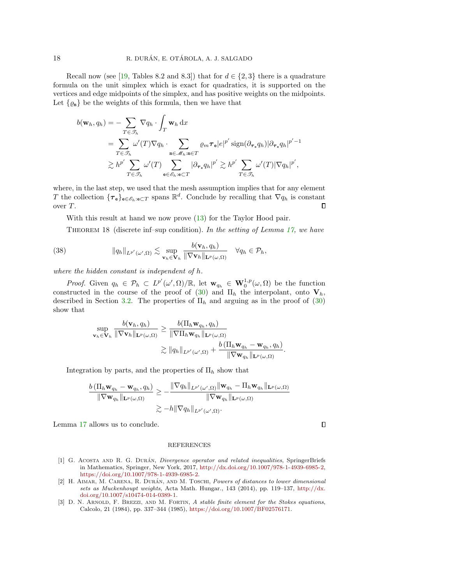Recall now (see [\[19,](#page-18-15) Tables 8.2 and 8.3]) that for  $d \in \{2,3\}$  there is a quadrature formula on the unit simplex which is exact for quadratics, it is supported on the vertices and edge midpoints of the simplex, and has positive weights on the midpoints. Let  $\{\varrho_{\mathbf{m}}\}$  be the weights of this formula, then we have that

$$
b(\mathbf{w}_h, q_h) = -\sum_{T \in \mathcal{T}_h} \nabla q_h \cdot \int_T \mathbf{w}_h \, dx
$$
  
\n
$$
= \sum_{T \in \mathcal{T}_h} \omega'(T) \nabla q_h \cdot \sum_{\mathbf{n} \in \mathcal{M}_h : \mathbf{m} \in T} \varrho_m \tau_e |e|^{p'} \operatorname{sign}(\partial_{\tau_e} q_h) |\partial_{\tau_e} q_h|^{p'-1}
$$
  
\n
$$
\gtrsim h^{p'} \sum_{T \in \mathcal{T}_h} \omega'(T) \sum_{\mathbf{e} \in \mathcal{E}_h : \mathbf{e} \subset T} |\partial_{\tau_e} q_h|^{p'} \gtrsim h^{p'} \sum_{T \in \mathcal{F}_h} \omega'(T) |\nabla q_h|^{p'},
$$

where, in the last step, we used that the mesh assumption implies that for any element T the collection  $\{\tau_{e}\}_{e \in \mathscr{E}_{h}: e \subset T}$  spans  $\mathbb{R}^{d}$ . Conclude by recalling that  $\nabla q_{h}$  is constant over T.  $\Box$ 

With this result at hand we now prove  $(13)$  for the Taylor Hood pair.

THEOREM 18 (discrete inf–sup condition). In the setting of Lemma [17,](#page-16-2) we have

(38) 
$$
\|q_h\|_{L^{p'}(\omega',\Omega)} \lesssim \sup_{\mathbf{v}_h\in\mathbf{V}_h} \frac{b(\mathbf{v}_h,q_h)}{\|\nabla \mathbf{v}_h\|_{\mathbf{L}^p(\omega,\Omega)}} \quad \forall q_h \in \mathcal{P}_h,
$$

where the hidden constant is independent of h.

*Proof.* Given  $q_h \in \mathcal{P}_h \subset L^{p'}(\omega', \Omega)/\mathbb{R}$ , let  $\mathbf{w}_{q_h} \in \mathbf{W}_0^{1,p}(\omega, \Omega)$  be the function constructed in the course of the proof of [\(30\)](#page-13-2) and  $\Pi_h$  the interpolant, onto  $V_h$ , described in Section [3.2.](#page-5-3) The properties of  $\Pi_h$  and arguing as in the proof of [\(30\)](#page-13-2) show that

$$
\sup_{\mathbf{v}_h \in \mathbf{V}_h} \frac{b(\mathbf{v}_h, q_h)}{\|\nabla \mathbf{v}_h\|_{\mathbf{L}^p(\omega,\Omega)}} \ge \frac{b(\Pi_h \mathbf{w}_{q_h}, q_h)}{\|\nabla \Pi_h \mathbf{w}_{q_h}\|_{\mathbf{L}^p(\omega,\Omega)}} \n\ge \|q_h\|_{L^{p'}(\omega',\Omega)} + \frac{b(\Pi_h \mathbf{w}_{q_h} - \mathbf{w}_{q_h}, q_h)}{\|\nabla \mathbf{w}_{q_h}\|_{\mathbf{L}^p(\omega,\Omega)}}.
$$

Integration by parts, and the properties of  $\Pi_h$  show that

$$
\frac{b(\Pi_h \mathbf{w}_{q_h} - \mathbf{w}_{q_h}, q_h)}{\|\nabla \mathbf{w}_{q_h}\|_{\mathbf{L}^p(\omega,\Omega)}} \ge -\frac{\|\nabla q_h\|_{L^{p'}(\omega',\Omega)}\|\mathbf{w}_{q_h} - \Pi_h \mathbf{w}_{q_h}\|_{\mathbf{L}^p(\omega,\Omega)}}{\|\nabla \mathbf{w}_{q_h}\|_{\mathbf{L}^p(\omega,\Omega)}} \\\ge -h \|\nabla q_h\|_{L^{p'}(\omega',\Omega)}.
$$

Lemma [17](#page-16-2) allows us to conclude.

## **REFERENCES**

- <span id="page-17-1"></span>[1] G. ACOSTA AND R. G. DURÁN, *Divergence operator and related inequalities*, SpringerBriefs in Mathematics, Springer, New York, 2017, [http://dx.doi.org/10.1007/978-1-4939-6985-2,](http://dx.doi.org/10.1007/978-1-4939-6985-2) [https://doi.org/10.1007/978-1-4939-6985-2.](https://doi.org/10.1007/978-1-4939-6985-2)
- <span id="page-17-0"></span>[2] H. AIMAR, M. CARENA, R. DURÁN, AND M. TOSCHI, Powers of distances to lower dimensional sets as Muckenhoupt weights, Acta Math. Hungar., 143 (2014), pp. 119–137, [http://dx.](http://dx.doi.org/10.1007/s10474-014-0389-1) [doi.org/10.1007/s10474-014-0389-1.](http://dx.doi.org/10.1007/s10474-014-0389-1)
- <span id="page-17-2"></span>[3] D. N. ARNOLD, F. BREZZI, AND M. FORTIN, A stable finite element for the Stokes equations, Calcolo, 21 (1984), pp. 337–344 (1985), [https://doi.org/10.1007/BF02576171.](https://doi.org/10.1007/BF02576171)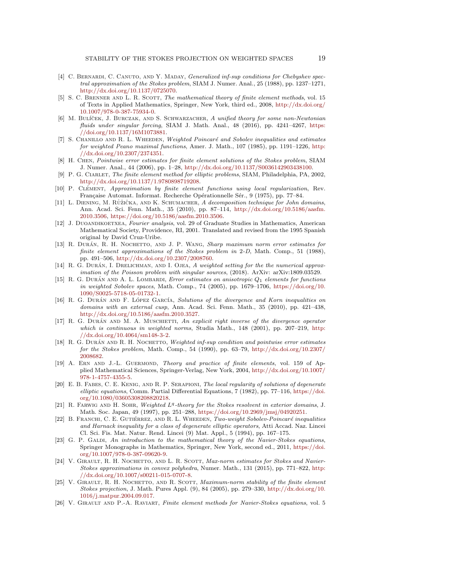- <span id="page-18-14"></span>[4] C. BERNARDI, C. CANUTO, AND Y. MADAY, *Generalized inf-sup conditions for Chebyshev spec*tral approximation of the Stokes problem, SIAM J. Numer. Anal., 25 (1988), pp. 1237–1271, [http://dx.doi.org/10.1137/0725070.](http://dx.doi.org/10.1137/0725070)
- <span id="page-18-20"></span>[5] S. C. BRENNER AND L. R. SCOTT, The mathematical theory of finite element methods, vol. 15 of Texts in Applied Mathematics, Springer, New York, third ed., 2008, [http://dx.doi.org/](http://dx.doi.org/10.1007/978-0-387-75934-0) [10.1007/978-0-387-75934-0.](http://dx.doi.org/10.1007/978-0-387-75934-0)
- <span id="page-18-6"></span>[6] M. BULÍČEK, J. BURCZAK, AND S. SCHWARZACHER, A unified theory for some non-Newtonian fluids under singular forcing, SIAM J. Math. Anal., 48 (2016), pp. 4241–4267, [https:](https://doi.org/10.1137/16M1073881) [//doi.org/10.1137/16M1073881.](https://doi.org/10.1137/16M1073881)
- <span id="page-18-11"></span>[7] S. CHANILLO AND R. L. WHEEDEN, Weighted Poincaré and Sobolev inequalities and estimates for weighted Peano maximal functions, Amer. J. Math., 107 (1985), pp. 1191–1226, [http:](http://dx.doi.org/10.2307/2374351) [//dx.doi.org/10.2307/2374351.](http://dx.doi.org/10.2307/2374351)
- <span id="page-18-3"></span>[8] H. Chen, Pointwise error estimates for finite element solutions of the Stokes problem, SIAM J. Numer. Anal., 44 (2006), pp. 1–28, [http://dx.doi.org/10.1137/S0036142903438100.](http://dx.doi.org/10.1137/S0036142903438100)
- <span id="page-18-16"></span>[9] P. G. CIARLET, The finite element method for elliptic problems, SIAM, Philadelphia, PA, 2002, [http://dx.doi.org/10.1137/1.9780898719208.](http://dx.doi.org/10.1137/1.9780898719208)
- <span id="page-18-18"></span>[10] P. CLÉMENT, Approximation by finite element functions using local regularization, Rev. Française Automat. Informat. Recherche Opérationnelle Sér., 9 (1975), pp. 77-84.
- <span id="page-18-22"></span>[11] L. DIENING, M. RŮŽIČKA, AND K. SCHUMACHER, A decomposition technique for John domains, Ann. Acad. Sci. Fenn. Math., 35 (2010), pp. 87–114, [http://dx.doi.org/10.5186/aasfm.](http://dx.doi.org/10.5186/aasfm.2010.3506) [2010.3506,](http://dx.doi.org/10.5186/aasfm.2010.3506) [https://doi.org/10.5186/aasfm.2010.3506.](https://doi.org/10.5186/aasfm.2010.3506)
- <span id="page-18-8"></span>[12] J. Duoandikoetxea, Fourier analysis, vol. 29 of Graduate Studies in Mathematics, American Mathematical Society, Providence, RI, 2001. Translated and revised from the 1995 Spanish original by David Cruz-Uribe.
- <span id="page-18-0"></span>[13] R. DURÁN, R. H. NOCHETTO, AND J. P. WANG, Sharp maximum norm error estimates for finite element approximations of the Stokes problem in 2-D, Math. Comp., 51 (1988), pp. 491–506, [http://dx.doi.org/10.2307/2008760.](http://dx.doi.org/10.2307/2008760)
- <span id="page-18-7"></span>[14] R. G. DURÁN, I. DRELICHMAN, AND I. OJEA, A weighted setting for the the numerical approximation of the Poisson problem with singular sources, (2018). ArXiv: arXiv:1809.03529.
- <span id="page-18-19"></span>[15] R. G. DURÁN AND A. L. LOMBARDI, Error estimates on anisotropic  $Q_1$  elements for functions in weighted Sobolev spaces, Math. Comp., 74 (2005), pp. 1679–1706, [https://doi.org/10.](https://doi.org/10.1090/S0025-5718-05-01732-1) [1090/S0025-5718-05-01732-1.](https://doi.org/10.1090/S0025-5718-05-01732-1)
- <span id="page-18-21"></span>[16] R. G. DURÁN AND F. LÓPEZ GARCÍA, Solutions of the divergence and Korn inequalities on domains with an external cusp, Ann. Acad. Sci. Fenn. Math., 35 (2010), pp. 421–438, [http://dx.doi.org/10.5186/aasfm.2010.3527.](http://dx.doi.org/10.5186/aasfm.2010.3527)
- <span id="page-18-2"></span>[17] R. G. DURÁN AND M. A. MUSCHIETTI, An explicit right inverse of the divergence operator which is continuous in weighted norms, Studia Math., 148 (2001), pp. 207-219, [http:](http://dx.doi.org/10.4064/sm148-3-2) [//dx.doi.org/10.4064/sm148-3-2.](http://dx.doi.org/10.4064/sm148-3-2)
- <span id="page-18-1"></span>[18] R. G. DURÁN AND R. H. NOCHETTO, Weighted inf-sup condition and pointwise error estimates for the Stokes problem, Math. Comp., 54 (1990), pp. 63–79, [http://dx.doi.org/10.2307/](http://dx.doi.org/10.2307/2008682) [2008682.](http://dx.doi.org/10.2307/2008682)
- <span id="page-18-15"></span>[19] A. ERN AND J.-L. GUERMOND, Theory and practice of finite elements, vol. 159 of Applied Mathematical Sciences, Springer-Verlag, New York, 2004, [http://dx.doi.org/10.1007/](http://dx.doi.org/10.1007/978-1-4757-4355-5) [978-1-4757-4355-5.](http://dx.doi.org/10.1007/978-1-4757-4355-5)
- <span id="page-18-10"></span>[20] E. B. Fabes, C. E. Kenig, and R. P. Serapioni, The local regularity of solutions of degenerate elliptic equations, Comm. Partial Differential Equations, 7 (1982), pp. 77–116, [https://doi.](https://doi.org/10.1080/03605308208820218) [org/10.1080/03605308208820218.](https://doi.org/10.1080/03605308208820218)
- <span id="page-18-9"></span>[21] R. FARWIG AND H. SOHR, Weighted  $L<sup>q</sup>$ -theory for the Stokes resolvent in exterior domains, J. Math. Soc. Japan, 49 (1997), pp. 251–288, [https://doi.org/10.2969/jmsj/04920251.](https://doi.org/10.2969/jmsj/04920251)
- <span id="page-18-12"></span>[22] B. FRANCHI, C. E. GUTIÉRREZ, AND R. L. WHEEDEN, Two-weight Sobolev-Poincaré inequalities and Harnack inequality for a class of degenerate elliptic operators, Atti Accad. Naz. Lincei Cl. Sci. Fis. Mat. Natur. Rend. Lincei (9) Mat. Appl., 5 (1994), pp. 167–175.
- <span id="page-18-13"></span>[23] G. P. GALDI, An introduction to the mathematical theory of the Navier-Stokes equations, Springer Monographs in Mathematics, Springer, New York, second ed., 2011, [https://doi.](https://doi.org/10.1007/978-0-387-09620-9) [org/10.1007/978-0-387-09620-9.](https://doi.org/10.1007/978-0-387-09620-9)
- <span id="page-18-5"></span>[24] V. GIRAULT, R. H. NOCHETTO, AND L. R. SCOTT, Max-norm estimates for Stokes and Navier-Stokes approximations in convex polyhedra, Numer. Math., 131 (2015), pp. 771–822, [http:](http://dx.doi.org/10.1007/s00211-015-0707-8) [//dx.doi.org/10.1007/s00211-015-0707-8.](http://dx.doi.org/10.1007/s00211-015-0707-8)
- <span id="page-18-4"></span>[25] V. GIRAULT, R. H. NOCHETTO, AND R. SCOTT, *Maximum-norm stability of the finite element* Stokes projection, J. Math. Pures Appl. (9), 84 (2005), pp. 279–330, [http://dx.doi.org/10.](http://dx.doi.org/10.1016/j.matpur.2004.09.017) [1016/j.matpur.2004.09.017.](http://dx.doi.org/10.1016/j.matpur.2004.09.017)
- <span id="page-18-17"></span>[26] V. Girault and P.-A. Raviart, Finite element methods for Navier-Stokes equations, vol. 5